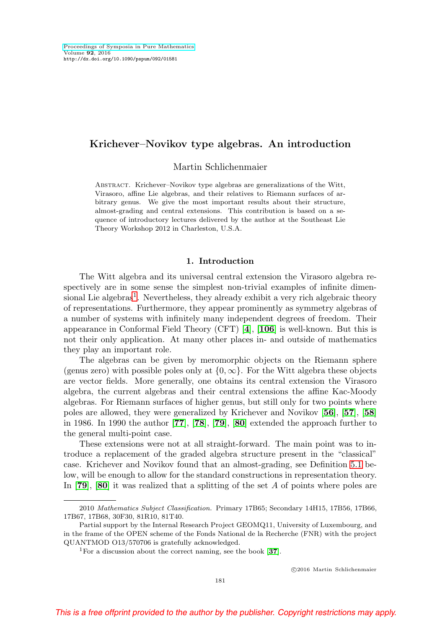# **Krichever–Novikov type algebras. An introduction**

Martin Schlichenmaier

Abstract. Krichever–Novikov type algebras are generalizations of the Witt, Virasoro, affine Lie algebras, and their relatives to Riemann surfaces of arbitrary genus. We give the most important results about their structure, almost-grading and central extensions. This contribution is based on a sequence of introductory lectures delivered by the author at the Southeast Lie Theory Workshop 2012 in Charleston, U.S.A.

### **1. Introduction**

The Witt algebra and its universal central extension the Virasoro algebra respectively are in some sense the simplest non-trivial examples of infinite dimen-sional Lie algebras<sup>[1](#page-0-0)</sup>. Nevertheless, they already exhibit a very rich algebraic theory of representations. Furthermore, they appear prominently as symmetry algebras of a number of systems with infinitely many independent degrees of freedom. Their appearance in Conformal Field Theory (CFT) [**[4](#page-34-0)**], [**[106](#page-38-0)**] is well-known. But this is not their only application. At many other places in- and outside of mathematics they play an important role.

The algebras can be given by meromorphic objects on the Riemann sphere (genus zero) with possible poles only at  $\{0,\infty\}$ . For the Witt algebra these objects are vector fields. More generally, one obtains its central extension the Virasoro algebra, the current algebras and their central extensions the affine Kac-Moody algebras. For Riemann surfaces of higher genus, but still only for two points where poles are allowed, they were generalized by Krichever and Novikov [**[56](#page-36-0)**], [**[57](#page-36-1)**], [**[58](#page-36-2)**] in 1986. In 1990 the author [**[77](#page-37-0)**], [**[78](#page-37-1)**], [**[79](#page-37-2)**], [**[80](#page-37-3)**] extended the approach further to the general multi-point case.

These extensions were not at all straight-forward. The main point was to introduce a replacement of the graded algebra structure present in the "classical" case. Krichever and Novikov found that an almost-grading, see Definition [5.1](#page-13-0) below, will be enough to allow for the standard constructions in representation theory. In [**[79](#page-37-2)**], [**[80](#page-37-3)**] it was realized that a splitting of the set A of points where poles are

<sup>2010</sup> Mathematics Subject Classification. Primary 17B65; Secondary 14H15, 17B56, 17B66, 17B67, 17B68, 30F30, 81R10, 81T40.

Partial support by the Internal Research Project GEOMQ11, University of Luxembourg, and in the frame of the OPEN scheme of the Fonds National de la Recherche (FNR) with the project QUANTMOD O13/570706 is gratefully acknowledged.

<span id="page-0-0"></span><sup>1</sup>For a discussion about the correct naming, see the book [**[37](#page-35-0)**].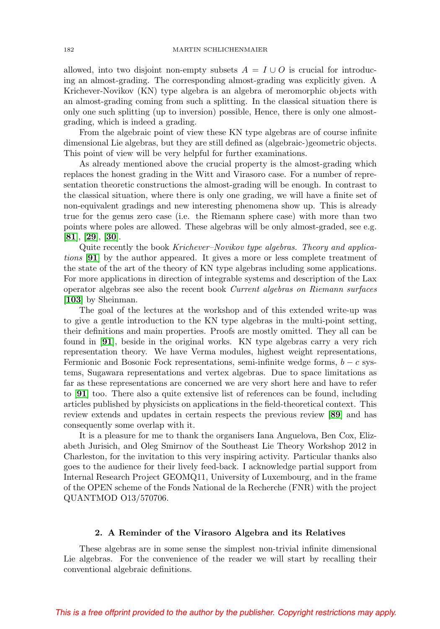allowed, into two disjoint non-empty subsets  $A = I \cup O$  is crucial for introducing an almost-grading. The corresponding almost-grading was explicitly given. A Krichever-Novikov (KN) type algebra is an algebra of meromorphic objects with an almost-grading coming from such a splitting. In the classical situation there is only one such splitting (up to inversion) possible, Hence, there is only one almostgrading, which is indeed a grading.

From the algebraic point of view these KN type algebras are of course infinite dimensional Lie algebras, but they are still defined as (algebraic-)geometric objects. This point of view will be very helpful for further examinations.

As already mentioned above the crucial property is the almost-grading which replaces the honest grading in the Witt and Virasoro case. For a number of representation theoretic constructions the almost-grading will be enough. In contrast to the classical situation, where there is only one grading, we will have a finite set of non-equivalent gradings and new interesting phenomena show up. This is already true for the genus zero case (i.e. the Riemann sphere case) with more than two points where poles are allowed. These algebras will be only almost-graded, see e.g. [**[81](#page-37-4)**], [**[29](#page-35-1)**], [**[30](#page-35-2)**].

Quite recently the book Krichever–Novikov type algebras. Theory and applications [**[91](#page-38-1)**] by the author appeared. It gives a more or less complete treatment of the state of the art of the theory of KN type algebras including some applications. For more applications in direction of integrable systems and description of the Lax operator algebras see also the recent book Current algebras on Riemann surfaces [**[103](#page-38-2)**] by Sheinman.

The goal of the lectures at the workshop and of this extended write-up was to give a gentle introduction to the KN type algebras in the multi-point setting, their definitions and main properties. Proofs are mostly omitted. They all can be found in [**[91](#page-38-1)**], beside in the original works. KN type algebras carry a very rich representation theory. We have Verma modules, highest weight representations, Fermionic and Bosonic Fock representations, semi-infinite wedge forms,  $b - c$  systems, Sugawara representations and vertex algebras. Due to space limitations as far as these representations are concerned we are very short here and have to refer to [**[91](#page-38-1)**] too. There also a quite extensive list of references can be found, including articles published by physicists on applications in the field-theoretical context. This review extends and updates in certain respects the previous review [**[89](#page-38-3)**] and has consequently some overlap with it.

It is a pleasure for me to thank the organisers Iana Anguelova, Ben Cox, Elizabeth Jurisich, and Oleg Smirnov of the Southeast Lie Theory Workshop 2012 in Charleston, for the invitation to this very inspiring activity. Particular thanks also goes to the audience for their lively feed-back. I acknowledge partial support from Internal Research Project GEOMQ11, University of Luxembourg, and in the frame of the OPEN scheme of the Fonds National de la Recherche (FNR) with the project QUANTMOD O13/570706.

### **2. A Reminder of the Virasoro Algebra and its Relatives**

<span id="page-1-0"></span>These algebras are in some sense the simplest non-trivial infinite dimensional Lie algebras. For the convenience of the reader we will start by recalling their conventional algebraic definitions.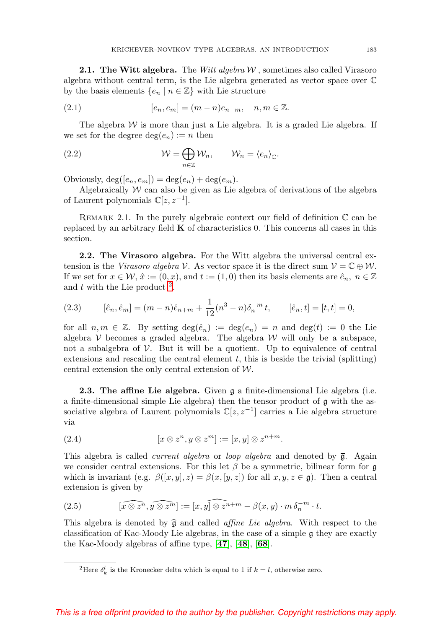**2.1. The Witt algebra.** The Witt algebra W , sometimes also called Virasoro algebra without central term, is the Lie algebra generated as vector space over C by the basis elements  $\{e_n \mid n \in \mathbb{Z}\}\$  with Lie structure

(2.1) 
$$
[e_n, e_m] = (m - n)e_{n+m}, \quad n, m \in \mathbb{Z}.
$$

The algebra  $W$  is more than just a Lie algebra. It is a graded Lie algebra. If we set for the degree  $\deg(e_n) := n$  then

(2.2) 
$$
\mathcal{W} = \bigoplus_{n \in \mathbb{Z}} \mathcal{W}_n, \qquad \mathcal{W}_n = \langle e_n \rangle_{\mathbb{C}}.
$$

Obviously,  $deg([e_n, e_m]) = deg(e_n) + deg(e_m)$ .

Algebraically  $W$  can also be given as Lie algebra of derivations of the algebra of Laurent polynomials  $\mathbb{C}[z, z^{-1}]$ .

REMARK 2.1. In the purely algebraic context our field of definition  $\mathbb C$  can be replaced by an arbitrary field **K** of characteristics 0. This concerns all cases in this section.

**2.2. The Virasoro algebra.** For the Witt algebra the universal central extension is the Virasoro algebra V. As vector space it is the direct sum  $\mathcal{V} = \mathbb{C} \oplus \mathcal{W}$ . If we set for  $x \in \mathcal{W}$ ,  $\hat{x} := (0, x)$ , and  $t := (1, 0)$  then its basis elements are  $\hat{e}_n$ ,  $n \in \mathbb{Z}$ and  $t$  with the Lie product  $^2$  $^2$ .

(2.3) 
$$
[\hat{e}_n, \hat{e}_m] = (m-n)\hat{e}_{n+m} + \frac{1}{12}(n^3 - n)\delta_n^{-m} t, \qquad [\hat{e}_n, t] = [t, t] = 0,
$$

for all  $n, m \in \mathbb{Z}$ . By setting  $\deg(\hat{e}_n) := \deg(e_n) = n$  and  $\deg(t) := 0$  the Lie algebra  $V$  becomes a graded algebra. The algebra  $W$  will only be a subspace, not a subalgebra of  $\mathcal V$ . But it will be a quotient. Up to equivalence of central extensions and rescaling the central element  $t$ , this is beside the trivial (splitting) central extension the only central extension of  $W$ .

**2.3. The affine Lie algebra.** Given g a finite-dimensional Lie algebra (i.e. a finite-dimensional simple Lie algebra) then the tensor product of g with the associative algebra of Laurent polynomials  $\mathbb{C}[z, z^{-1}]$  carries a Lie algebra structure via

(2.4) 
$$
[x \otimes z^n, y \otimes z^m] := [x, y] \otimes z^{n+m}.
$$

This algebra is called *current algebra* or *loop algebra* and denoted by  $\overline{g}$ . Again we consider central extensions. For this let  $\beta$  be a symmetric, bilinear form for g which is invariant (e.g.  $\beta([x, y], z) = \beta(x, [y, z])$  for all  $x, y, z \in \mathfrak{g}$ ). Then a central extension is given by

(2.5) 
$$
[\widehat{x \otimes z^n}, \widehat{y \otimes z^m}] := [x, \widehat{y \otimes z^{n+m}} - \beta(x, y) \cdot m \delta_n^{-m} \cdot t.
$$

This algebra is denoted by  $\hat{\mathfrak{g}}$  and called *affine Lie algebra*. With respect to the classification of Kac-Moody Lie algebras, in the case of a simple g they are exactly the Kac-Moody algebras of affine type, [**[47](#page-36-3)**], [**[48](#page-36-4)**], [**[68](#page-37-5)**].

<span id="page-2-0"></span><sup>&</sup>lt;sup>2</sup>Here  $\delta_k^l$  is the Kronecker delta which is equal to 1 if  $k = l$ , otherwise zero.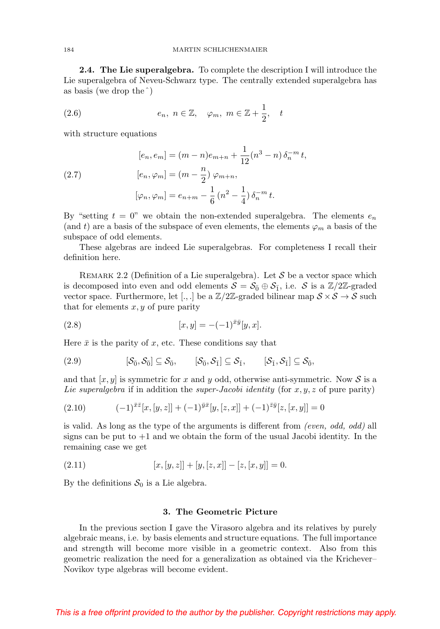**2.4. The Lie superalgebra.** To complete the description I will introduce the Lie superalgebra of Neveu-Schwarz type. The centrally extended superalgebra has as basis (we drop theˆ)

(2.6) 
$$
e_n, n \in \mathbb{Z}, \varphi_m, m \in \mathbb{Z} + \frac{1}{2}, t
$$

with structure equations

(2.7) 
$$
[e_n, e_m] = (m - n)e_{m+n} + \frac{1}{12}(n^3 - n)\delta_n^{-m} t,
$$

$$
[e_n, \varphi_m] = (m - \frac{n}{2})\varphi_{m+n},
$$

$$
[\varphi_n, \varphi_m] = e_{n+m} - \frac{1}{6}(n^2 - \frac{1}{4})\delta_n^{-m} t.
$$

By "setting  $t = 0$ " we obtain the non-extended superalgebra. The elements  $e_n$ (and t) are a basis of the subspace of even elements, the elements  $\varphi_m$  a basis of the subspace of odd elements.

These algebras are indeed Lie superalgebras. For completeness I recall their definition here.

<span id="page-3-0"></span>REMARK 2.2 (Definition of a Lie superalgebra). Let  $S$  be a vector space which is decomposed into even and odd elements  $S = S_{\bar{0}} \oplus S_{\bar{1}}$ , i.e. S is a  $\mathbb{Z}/2\mathbb{Z}$ -graded vector space. Furthermore, let [., .] be a  $\mathbb{Z}/2\mathbb{Z}$ -graded bilinear map  $S \times S \to S$  such that for elements  $x, y$  of pure parity

(2.8) 
$$
[x, y] = -(-1)^{\bar{x}\bar{y}}[y, x].
$$

Here  $\bar{x}$  is the parity of x, etc. These conditions say that

(2.9) 
$$
[\mathcal{S}_{\bar{0}}, \mathcal{S}_{\bar{0}}] \subseteq \mathcal{S}_{\bar{0}}, \qquad [\mathcal{S}_{\bar{0}}, \mathcal{S}_{\bar{1}}] \subseteq \mathcal{S}_{\bar{1}}, \qquad [\mathcal{S}_{\bar{1}}, \mathcal{S}_{\bar{1}}] \subseteq \mathcal{S}_{\bar{0}},
$$

and that  $[x, y]$  is symmetric for x and y odd, otherwise anti-symmetric. Now S is a Lie superalgebra if in addition the super-Jacobi identity (for x, y, z of pure parity)

(2.10) 
$$
(-1)^{\bar{x}\bar{z}}[x,[y,z]] + (-1)^{\bar{y}\bar{x}}[y,[z,x]] + (-1)^{\bar{z}\bar{y}}[z,[x,y]] = 0
$$

is valid. As long as the type of the arguments is different from (even, odd, odd) all signs can be put to  $+1$  and we obtain the form of the usual Jacobi identity. In the remaining case we get

(2.11) 
$$
[x,[y,z]] + [y,[z,x]] - [z,[x,y]] = 0.
$$

By the definitions  $S_0$  is a Lie algebra.

### **3. The Geometric Picture**

In the previous section I gave the Virasoro algebra and its relatives by purely algebraic means, i.e. by basis elements and structure equations. The full importance and strength will become more visible in a geometric context. Also from this geometric realization the need for a generalization as obtained via the Krichever– Novikov type algebras will become evident.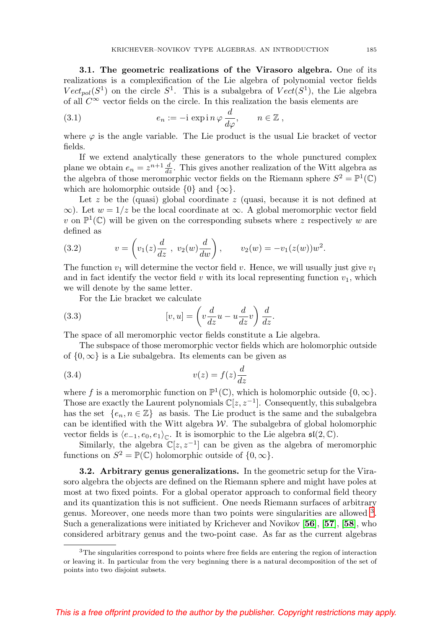<span id="page-4-1"></span>**3.1. The geometric realizations of the Virasoro algebra.** One of its realizations is a complexification of the Lie algebra of polynomial vector fields  $Vect_{pol}(S^1)$  on the circle  $S^1$ . This is a subalgebra of  $Vect(S^1)$ , the Lie algebra of all  $C^{\infty}$  vector fields on the circle. In this realization the basis elements are

(3.1) 
$$
e_n := -\mathrm{i} \, \exp \mathrm{i} \, n \, \varphi \, \frac{d}{d\varphi}, \qquad n \in \mathbb{Z} \ ,
$$

where  $\varphi$  is the angle variable. The Lie product is the usual Lie bracket of vector fields.

If we extend analytically these generators to the whole punctured complex plane we obtain  $e_n = z^{n+1} \frac{d}{dz}$ . This gives another realization of the Witt algebra as the algebra of those meromorphic vector fields on the Riemann sphere  $S^2 = \mathbb{P}^1(\mathbb{C})$ which are holomorphic outside  $\{0\}$  and  $\{\infty\}$ .

Let  $z$  be the (quasi) global coordinate  $z$  (quasi, because it is not defined at  $\infty$ ). Let  $w = 1/z$  be the local coordinate at  $\infty$ . A global meromorphic vector field v on  $\mathbb{P}^1(\mathbb{C})$  will be given on the corresponding subsets where z respectively w are defined as

(3.2) 
$$
v = \left(v_1(z)\frac{d}{dz}, v_2(w)\frac{d}{dw}\right), \qquad v_2(w) = -v_1(z(w))w^2.
$$

The function  $v_1$  will determine the vector field v. Hence, we will usually just give  $v_1$ and in fact identify the vector field v with its local representing function  $v_1$ , which we will denote by the same letter.

For the Lie bracket we calculate

(3.3) 
$$
[v, u] = \left(v\frac{d}{dz}u - u\frac{d}{dz}v\right)\frac{d}{dz}.
$$

The space of all meromorphic vector fields constitute a Lie algebra.

The subspace of those meromorphic vector fields which are holomorphic outside of  $\{0,\infty\}$  is a Lie subalgebra. Its elements can be given as

(3.4) 
$$
v(z) = f(z) \frac{d}{dz}
$$

where f is a meromorphic function on  $\mathbb{P}^1(\mathbb{C})$ , which is holomorphic outside  $\{0,\infty\}$ . Those are exactly the Laurent polynomials  $\mathbb{C}[z, z^{-1}]$ . Consequently, this subalgebra has the set  $\{e_n, n \in \mathbb{Z}\}\$ as basis. The Lie product is the same and the subalgebra can be identified with the Witt algebra  $W$ . The subalgebra of global holomorphic vector fields is  $\langle e_{-1}, e_0, e_1 \rangle_{\mathbb{C}}$ . It is isomorphic to the Lie algebra  $\mathfrak{sl}(2, \mathbb{C})$ .

Similarly, the algebra  $\mathbb{C}[z, z^{-1}]$  can be given as the algebra of meromorphic functions on  $S^2 = \mathbb{P}(\mathbb{C})$  holomorphic outside of  $\{0, \infty\}.$ 

**3.2. Arbitrary genus generalizations.** In the geometric setup for the Virasoro algebra the objects are defined on the Riemann sphere and might have poles at most at two fixed points. For a global operator approach to conformal field theory and its quantization this is not sufficient. One needs Riemann surfaces of arbitrary genus. Moreover, one needs more than two points were singularities are allowed [3](#page-4-0). Such a generalizations were initiated by Krichever and Novikov [**[56](#page-36-0)**], [**[57](#page-36-1)**], [**[58](#page-36-2)**], who considered arbitrary genus and the two-point case. As far as the current algebras

<span id="page-4-0"></span><sup>&</sup>lt;sup>3</sup>The singularities correspond to points where free fields are entering the region of interaction or leaving it. In particular from the very beginning there is a natural decomposition of the set of points into two disjoint subsets.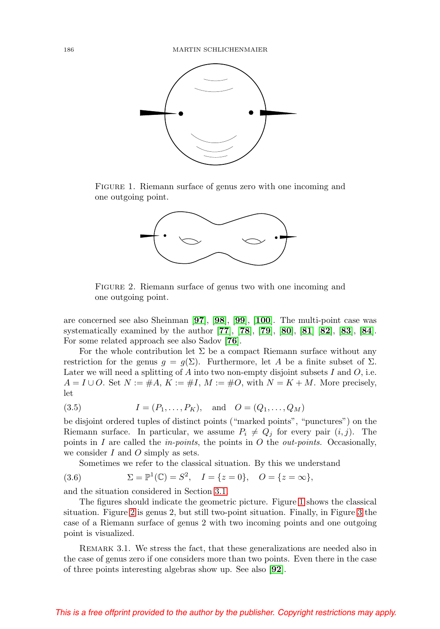

FIGURE 1. Riemann surface of genus zero with one incoming and one outgoing point.

<span id="page-5-0"></span>

<span id="page-5-1"></span>FIGURE 2. Riemann surface of genus two with one incoming and one outgoing point.

are concerned see also Sheinman [**[97](#page-38-4)**], [**[98](#page-38-5)**], [**[99](#page-38-6)**], [**[100](#page-38-7)**]. The multi-point case was systematically examined by the author [**[77](#page-37-0)**], [**[78](#page-37-1)**], [**[79](#page-37-2)**], [**[80](#page-37-3)**], [**[81](#page-37-4)**] [**[82](#page-37-6)**], [**[83](#page-37-7)**], [**[84](#page-37-8)**]. For some related approach see also Sadov [**[76](#page-37-9)**].

For the whole contribution let  $\Sigma$  be a compact Riemann surface without any restriction for the genus  $g = g(\Sigma)$ . Furthermore, let A be a finite subset of  $\Sigma$ . Later we will need a splitting of  $A$  into two non-empty disjoint subsets  $I$  and  $O$ , i.e.  $A = I \cup O$ . Set  $N := \#A, K := \#I, M := \#O$ , with  $N = K + M$ . More precisely, let

(3.5) 
$$
I = (P_1, ..., P_K), \text{ and } O = (Q_1, ..., Q_M)
$$

be disjoint ordered tuples of distinct points ("marked points", "punctures") on the Riemann surface. In particular, we assume  $P_i \neq Q_j$  for every pair  $(i, j)$ . The points in I are called the *in-points*, the points in O the *out-points*. Occasionally, we consider  $I$  and  $O$  simply as sets.

Sometimes we refer to the classical situation. By this we understand

(3.6) 
$$
\Sigma = \mathbb{P}^1(\mathbb{C}) = S^2, \quad I = \{z = 0\}, \quad O = \{z = \infty\},
$$

and the situation considered in Section [3.1.](#page-4-1)

The figures should indicate the geometric picture. Figure [1](#page-5-0) shows the classical situation. Figure [2](#page-5-1) is genus 2, but still two-point situation. Finally, in Figure [3](#page-6-0) the case of a Riemann surface of genus 2 with two incoming points and one outgoing point is visualized.

REMARK 3.1. We stress the fact, that these generalizations are needed also in the case of genus zero if one considers more than two points. Even there in the case of three points interesting algebras show up. See also [**[92](#page-38-8)**].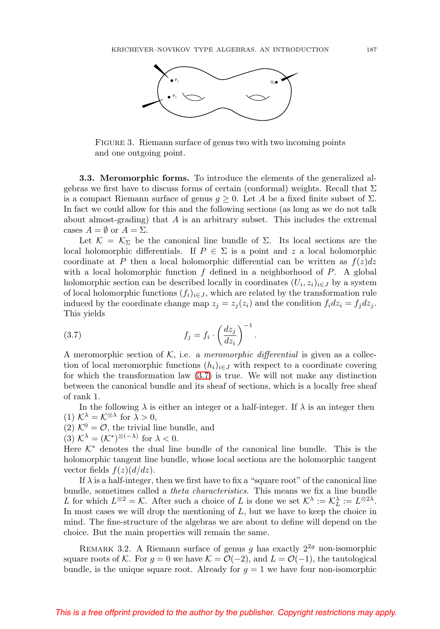

<span id="page-6-0"></span>FIGURE 3. Riemann surface of genus two with two incoming points and one outgoing point.

**3.3. Meromorphic forms.** To introduce the elements of the generalized algebras we first have to discuss forms of certain (conformal) weights. Recall that  $\Sigma$ is a compact Riemann surface of genus  $g \geq 0$ . Let A be a fixed finite subset of  $\Sigma$ . In fact we could allow for this and the following sections (as long as we do not talk about almost-grading) that  $A$  is an arbitrary subset. This includes the extremal cases  $A = \emptyset$  or  $A = \Sigma$ .

Let  $\mathcal{K} = \mathcal{K}_{\Sigma}$  be the canonical line bundle of  $\Sigma$ . Its local sections are the local holomorphic differentials. If  $P \in \Sigma$  is a point and z a local holomorphic coordinate at P then a local holomorphic differential can be written as  $f(z)dz$ with a local holomorphic function  $f$  defined in a neighborhood of  $P$ . A global holomorphic section can be described locally in coordinates  $(U_i, z_i)_{i \in J}$  by a system of local holomorphic functions  $(f_i)_{i\in J}$ , which are related by the transformation rule induced by the coordinate change map  $z_j = z_j(z_i)$  and the condition  $f_i dz_i = f_j dz_j$ . This yields

<span id="page-6-1"></span>(3.7) 
$$
f_j = f_i \cdot \left(\frac{dz_j}{dz_i}\right)^{-1}
$$

A meromorphic section of K, i.e. a meromorphic differential is given as a collection of local meromorphic functions  $(h_i)_{i\in J}$  with respect to a coordinate covering for which the transformation law [\(3.7\)](#page-6-1) is true. We will not make any distinction between the canonical bundle and its sheaf of sections, which is a locally free sheaf of rank 1.

.

In the following  $\lambda$  is either an integer or a half-integer. If  $\lambda$  is an integer then (1)  $K^{\lambda} = K^{\otimes \lambda}$  for  $\lambda > 0$ ,

(2)  $K^0 = \mathcal{O}$ , the trivial line bundle, and

(3)  $\mathcal{K}^{\lambda} = (\mathcal{K}^*)^{\otimes (-\lambda)}$  for  $\lambda < 0$ .

Here  $K^*$  denotes the dual line bundle of the canonical line bundle. This is the holomorphic tangent line bundle, whose local sections are the holomorphic tangent vector fields  $f(z)(d/dz)$ .

If  $\lambda$  is a half-integer, then we first have to fix a "square root" of the canonical line bundle, sometimes called a theta characteristics. This means we fix a line bundle L for which  $L^{\otimes 2} = \mathcal{K}$ . After such a choice of L is done we set  $\mathcal{K}^{\lambda} := \mathcal{K}^{\lambda}_{L} := L^{\otimes 2\lambda}$ . In most cases we will drop the mentioning of  $L$ , but we have to keep the choice in mind. The fine-structure of the algebras we are about to define will depend on the choice. But the main properties will remain the same.

REMARK 3.2. A Riemann surface of genus g has exactly  $2^{2g}$  non-isomorphic square roots of K. For  $g = 0$  we have  $K = \mathcal{O}(-2)$ , and  $L = \mathcal{O}(-1)$ , the tautological bundle, is the unique square root. Already for  $g = 1$  we have four non-isomorphic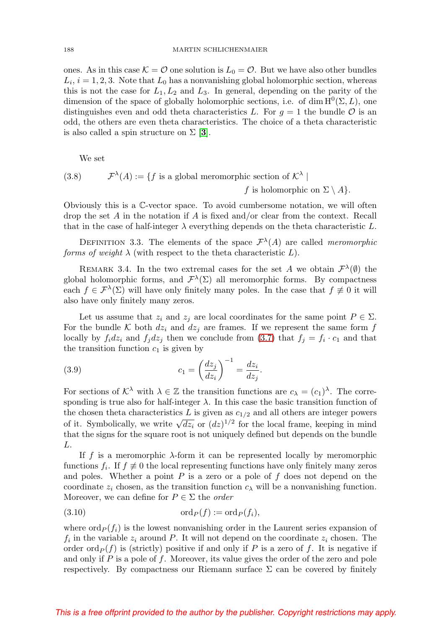ones. As in this case  $\mathcal{K} = \mathcal{O}$  one solution is  $L_0 = \mathcal{O}$ . But we have also other bundles  $L_i$ ,  $i = 1, 2, 3$ . Note that  $L_0$  has a nonvanishing global holomorphic section, whereas this is not the case for  $L_1, L_2$  and  $L_3$ . In general, depending on the parity of the dimension of the space of globally holomorphic sections, i.e. of dim  $H^0(\Sigma, L)$ , one distinguishes even and odd theta characteristics L. For  $g = 1$  the bundle  $\mathcal O$  is an odd, the others are even theta characteristics. The choice of a theta characteristic is also called a spin structure on  $\Sigma$  [[3](#page-34-1)].

We set

(3.8)  $\mathcal{F}^{\lambda}(A) := \{f \text{ is a global meromorphic section of } \mathcal{K}^{\lambda} \}$ f is holomorphic on  $\Sigma \setminus A$ .

Obviously this is a C-vector space. To avoid cumbersome notation, we will often drop the set  $A$  in the notation if  $A$  is fixed and/or clear from the context. Recall that in the case of half-integer  $\lambda$  everything depends on the theta characteristic L.

DEFINITION 3.3. The elements of the space  $\mathcal{F}^{\lambda}(A)$  are called *meromorphic* forms of weight  $\lambda$  (with respect to the theta characteristic L).

REMARK 3.4. In the two extremal cases for the set A we obtain  $\mathcal{F}^{\lambda}(\emptyset)$  the global holomorphic forms, and  $\mathcal{F}^{\lambda}(\Sigma)$  all meromorphic forms. By compactness each  $f \in \mathcal{F}^{\lambda}(\Sigma)$  will have only finitely many poles. In the case that  $f \not\equiv 0$  it will also have only finitely many zeros.

Let us assume that  $z_i$  and  $z_j$  are local coordinates for the same point  $P \in \Sigma$ . For the bundle K both  $dz_i$  and  $dz_j$  are frames. If we represent the same form f locally by  $f_i dz_i$  and  $f_j dz_j$  then we conclude from [\(3.7\)](#page-6-1) that  $f_j = f_i \cdot c_1$  and that the transition function  $c_1$  is given by

(3.9) 
$$
c_1 = \left(\frac{dz_j}{dz_i}\right)^{-1} = \frac{dz_i}{dz_j}.
$$

For sections of  $\mathcal{K}^{\lambda}$  with  $\lambda \in \mathbb{Z}$  the transition functions are  $c_{\lambda} = (c_1)^{\lambda}$ . The corresponding is true also for half-integer  $\lambda$ . In this case the basic transition function of the chosen theta characteristics L is given as  $c_{1/2}$  and all others are integer powers of it. Symbolically, we write  $\sqrt{dz_i}$  or  $(dz)^{1/2}$  for the local frame, keeping in mind that the signs for the square root is not uniquely defined but depends on the bundle L.

If f is a meromorphic  $\lambda$ -form it can be represented locally by meromorphic functions  $f_i$ . If  $f \neq 0$  the local representing functions have only finitely many zeros and poles. Whether a point  $P$  is a zero or a pole of  $f$  does not depend on the coordinate  $z_i$  chosen, as the transition function  $c_\lambda$  will be a nonvanishing function. Moreover, we can define for  $P \in \Sigma$  the *order* 

$$
(3.10) \t\t \t\t \t\t\t ordP(f) := ordP(fi),
$$

where  $\text{ord}_P (f_i)$  is the lowest nonvanishing order in the Laurent series expansion of  $f_i$  in the variable  $z_i$  around P. It will not depend on the coordinate  $z_i$  chosen. The order ord $P(f)$  is (strictly) positive if and only if P is a zero of f. It is negative if and only if  $P$  is a pole of  $f$ . Moreover, its value gives the order of the zero and pole respectively. By compactness our Riemann surface  $\Sigma$  can be covered by finitely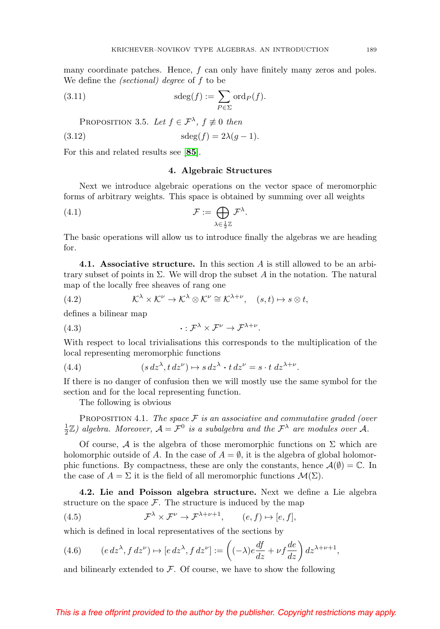many coordinate patches. Hence, f can only have finitely many zeros and poles. We define the *(sectional)* degree of f to be

(3.11) 
$$
\operatorname{sdeg}(f) := \sum_{P \in \Sigma} \operatorname{ord}_P(f).
$$

PROPOSITION 3.5. Let  $f \in \mathcal{F}^{\lambda}$ ,  $f \not\equiv 0$  then

$$
(3.12) \qquad \qquad \text{sdeg}(f) = 2\lambda(g-1).
$$

For this and related results see [**[85](#page-37-10)**].

### **4. Algebraic Structures**

Next we introduce algebraic operations on the vector space of meromorphic forms of arbitrary weights. This space is obtained by summing over all weights

(4.1) 
$$
\mathcal{F} := \bigoplus_{\lambda \in \frac{1}{2}\mathbb{Z}} \mathcal{F}^{\lambda}.
$$

The basic operations will allow us to introduce finally the algebras we are heading for.

**4.1. Associative structure.** In this section A is still allowed to be an arbitrary subset of points in  $\Sigma$ . We will drop the subset A in the notation. The natural map of the locally free sheaves of rang one

<span id="page-8-1"></span>(4.2) 
$$
\mathcal{K}^{\lambda} \times \mathcal{K}^{\nu} \to \mathcal{K}^{\lambda} \otimes \mathcal{K}^{\nu} \cong \mathcal{K}^{\lambda+\nu}, \quad (s,t) \mapsto s \otimes t,
$$

defines a bilinear map

(4.3) 
$$
\cdot : \mathcal{F}^{\lambda} \times \mathcal{F}^{\nu} \to \mathcal{F}^{\lambda+\nu}.
$$

With respect to local trivialisations this corresponds to the multiplication of the local representing meromorphic functions

(4.4) 
$$
(s dz^{\lambda}, t dz^{\nu}) \mapsto s dz^{\lambda} \cdot t dz^{\nu} = s \cdot t dz^{\lambda + \nu}.
$$

If there is no danger of confusion then we will mostly use the same symbol for the section and for the local representing function.

The following is obvious

PROPOSITION 4.1. The space  $\mathcal F$  is an associative and commutative graded (over  $\frac{1}{2}\mathbb{Z}$ ) algebra. Moreover,  $\mathcal{A} = \mathcal{F}^0$  is a subalgebra and the  $\mathcal{F}^{\lambda}$  are modules over  $\mathcal{A}$ .

Of course, A is the algebra of those meromorphic functions on  $\Sigma$  which are holomorphic outside of A. In the case of  $A = \emptyset$ , it is the algebra of global holomorphic functions. By compactness, these are only the constants, hence  $\mathcal{A}(\emptyset) = \mathbb{C}$ . In the case of  $A = \Sigma$  it is the field of all meromorphic functions  $\mathcal{M}(\Sigma)$ .

**4.2. Lie and Poisson algebra structure.** Next we define a Lie algebra structure on the space  $\mathcal{F}$ . The structure is induced by the map

(4.5) 
$$
\mathcal{F}^{\lambda} \times \mathcal{F}^{\nu} \to \mathcal{F}^{\lambda+\nu+1}, \qquad (e, f) \mapsto [e, f],
$$

which is defined in local representatives of the sections by

<span id="page-8-0"></span>(4.6) 
$$
(e dz^{\lambda}, f dz^{\nu}) \mapsto [e dz^{\lambda}, f dz^{\nu}] := \left( (-\lambda)e \frac{df}{dz} + \nu f \frac{de}{dz} \right) dz^{\lambda + \nu + 1},
$$

and bilinearly extended to  $\mathcal F$ . Of course, we have to show the following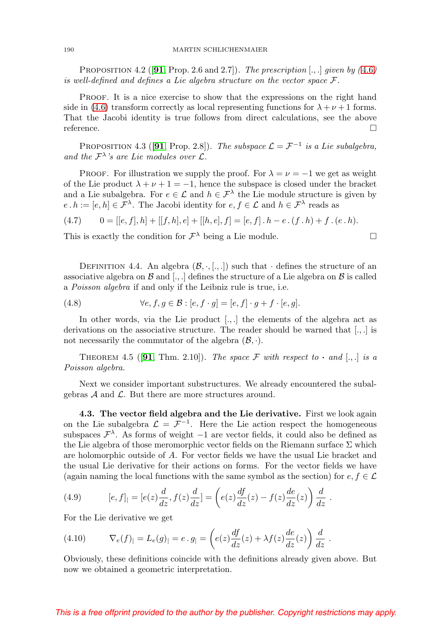PROPOSITION 4.2 ( $[91,$  $[91,$  $[91,$  Prop. 2.6 and 2.7). The prescription  $[.,.]$  given by  $(4.6)$  $(4.6)$  $(4.6)$ is well-defined and defines a Lie algebra structure on the vector space  $\mathcal{F}$ .

Proof. It is a nice exercise to show that the expressions on the right hand side in [\(4.6\)](#page-8-0) transform correctly as local representing functions for  $\lambda + \nu + 1$  forms. That the Jacobi identity is true follows from direct calculations, see the above reference.  $\Box$ 

PROPOSITION 4.3 ([**[91](#page-38-1)**, Prop. 2.8]). The subspace  $\mathcal{L} = \mathcal{F}^{-1}$  is a Lie subalgebra, and the  $\mathcal{F}^{\lambda}$ 's are Lie modules over  $\mathcal{L}$ .

PROOF. For illustration we supply the proof. For  $\lambda = \nu = -1$  we get as weight of the Lie product  $\lambda + \nu + 1 = -1$ , hence the subspace is closed under the bracket and a Lie subalgebra. For  $e \in \mathcal{L}$  and  $h \in \mathcal{F}^{\lambda}$  the Lie module structure is given by  $e \cdot h := [e, h] \in \mathcal{F}^{\lambda}$ . The Jacobi identity for  $e, f \in \mathcal{L}$  and  $h \in \mathcal{F}^{\lambda}$  reads as

(4.7)  $0 = [[e, f], h] + [[f, h], e] + [[h, e], f] = [e, f] \cdot h - e \cdot (f \cdot h) + f \cdot (e \cdot h).$ 

This is exactly the condition for  $\mathcal{F}^{\lambda}$  being a Lie module.

DEFINITION 4.4. An algebra  $(\mathcal{B}, \cdot, [., .])$  such that  $\cdot$  defines the structure of an associative algebra on  $\mathcal B$  and  $[.,.]$  defines the structure of a Lie algebra on  $\mathcal B$  is called a Poisson algebra if and only if the Leibniz rule is true, i.e.

(4.8) 
$$
\forall e, f, g \in \mathcal{B} : [e, f \cdot g] = [e, f] \cdot g + f \cdot [e, g].
$$

In other words, via the Lie product [...] the elements of the algebra act as derivations on the associative structure. The reader should be warned that [., .] is not necessarily the commutator of the algebra  $(\mathcal{B}, \cdot)$ .

THEOREM 4.5 ([**[91](#page-38-1)**, Thm. 2.10]). The space  $\mathcal F$  with respect to  $\cdot$  and [.,.] is a Poisson algebra.

Next we consider important substructures. We already encountered the subalgebras  $A$  and  $C$ . But there are more structures around.

**4.3. The vector field algebra and the Lie derivative.** First we look again on the Lie subalgebra  $\mathcal{L} = \mathcal{F}^{-1}$ . Here the Lie action respect the homogeneous subspaces  $\mathcal{F}^{\lambda}$ . As forms of weight -1 are vector fields, it could also be defined as the Lie algebra of those meromorphic vector fields on the Riemann surface  $\Sigma$  which are holomorphic outside of A. For vector fields we have the usual Lie bracket and the usual Lie derivative for their actions on forms. For the vector fields we have (again naming the local functions with the same symbol as the section) for  $e, f \in \mathcal{L}$ 

(4.9) 
$$
[e, f]_1 = [e(z)\frac{d}{dz}, f(z)\frac{d}{dz}] = \left(e(z)\frac{df}{dz}(z) - f(z)\frac{de}{dz}(z)\right)\frac{d}{dz}.
$$

For the Lie derivative we get

(4.10) 
$$
\nabla_e(f)| = L_e(g)| = e \cdot g| = \left( e(z) \frac{df}{dz}(z) + \lambda f(z) \frac{de}{dz}(z) \right) \frac{d}{dz}.
$$

Obviously, these definitions coincide with the definitions already given above. But now we obtained a geometric interpretation.

$$
\overline{}
$$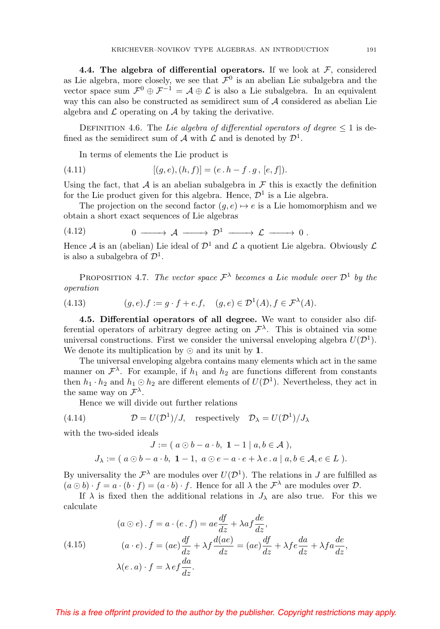**4.4. The algebra of differential operators.** If we look at  $\mathcal{F}$ , considered as Lie algebra, more closely, we see that  $\mathcal{F}^0$  is an abelian Lie subalgebra and the vector space sum  $\mathcal{F}^0 \oplus \mathcal{F}^{-1} = \mathcal{A} \oplus \mathcal{L}$  is also a Lie subalgebra. In an equivalent way this can also be constructed as semidirect sum of  $A$  considered as abelian Lie algebra and  $\mathcal L$  operating on  $\mathcal A$  by taking the derivative.

DEFINITION 4.6. The Lie algebra of differential operators of degree  $\leq 1$  is defined as the semidirect sum of A with  $\mathcal L$  and is denoted by  $\mathcal D^1$ .

In terms of elements the Lie product is

(4.11) 
$$
[(g,e),(h,f)] = (e \cdot h - f \cdot g, [e,f]).
$$

Using the fact, that  $\mathcal A$  is an abelian subalgebra in  $\mathcal F$  this is exactly the definition for the Lie product given for this algebra. Hence,  $\mathcal{D}^1$  is a Lie algebra.

The projection on the second factor  $(g, e) \mapsto e$  is a Lie homomorphism and we obtain a short exact sequences of Lie algebras

$$
(4.12) \t 0 \longrightarrow \mathcal{A} \longrightarrow \mathcal{D}^1 \longrightarrow \mathcal{L} \longrightarrow 0.
$$

Hence A is an (abelian) Lie ideal of  $\mathcal{D}^1$  and  $\mathcal L$  a quotient Lie algebra. Obviously  $\mathcal L$ is also a subalgebra of  $\mathcal{D}^1$ .

PROPOSITION 4.7. The vector space  $\mathcal{F}^{\lambda}$  becomes a Lie module over  $\mathcal{D}^1$  by the operation

(4.13) 
$$
(g,e).f := g \cdot f + e.f, \quad (g,e) \in \mathcal{D}^1(A), f \in \mathcal{F}^{\lambda}(A).
$$

**4.5. Differential operators of all degree.** We want to consider also differential operators of arbitrary degree acting on  $\mathcal{F}^{\lambda}$ . This is obtained via some universal constructions. First we consider the universal enveloping algebra  $U(\mathcal{D}^1)$ . We denote its multiplication by  $\odot$  and its unit by 1.

The universal enveloping algebra contains many elements which act in the same manner on  $\mathcal{F}^{\lambda}$ . For example, if  $h_1$  and  $h_2$  are functions different from constants then  $h_1 \cdot h_2$  and  $h_1 \odot h_2$  are different elements of  $U(\mathcal{D}^1)$ . Nevertheless, they act in the same way on  $\mathcal{F}^{\lambda}$ .

Hence we will divide out further relations

(4.14) 
$$
\mathcal{D} = U(\mathcal{D}^1)/J, \quad \text{respectively} \quad \mathcal{D}_{\lambda} = U(\mathcal{D}^1)/J_{\lambda}
$$

with the two-sided ideals

$$
J := (a \odot b - a \cdot b, \ 1 - 1 \mid a, b \in \mathcal{A} ),
$$
  

$$
J_{\lambda} := (a \odot b - a \cdot b, \ 1 - 1, \ a \odot e - a \cdot e + \lambda e \cdot a \mid a, b \in \mathcal{A}, e \in L ).
$$

By universality the  $\mathcal{F}^{\lambda}$  are modules over  $U(\mathcal{D}^1)$ . The relations in J are fulfilled as  $(a \odot b) \cdot f = a \cdot (b \cdot f) = (a \cdot b) \cdot f$ . Hence for all  $\lambda$  the  $\mathcal{F}^{\lambda}$  are modules over  $\mathcal{D}$ .

If  $\lambda$  is fixed then the additional relations in  $J_{\lambda}$  are also true. For this we calculate

(4.15) 
$$
(a \odot e) \cdot f = a \cdot (e \cdot f) = ae \frac{df}{dz} + \lambda af \frac{de}{dz},
$$

$$
(a \cdot e) \cdot f = (ae) \frac{df}{dz} + \lambda f \frac{d(ae)}{dz} = (ae) \frac{df}{dz} + \lambda fe \frac{da}{dz} + \lambda fa \frac{de}{dz},
$$

$$
\lambda(e \cdot a) \cdot f = \lambda ef \frac{da}{dz}.
$$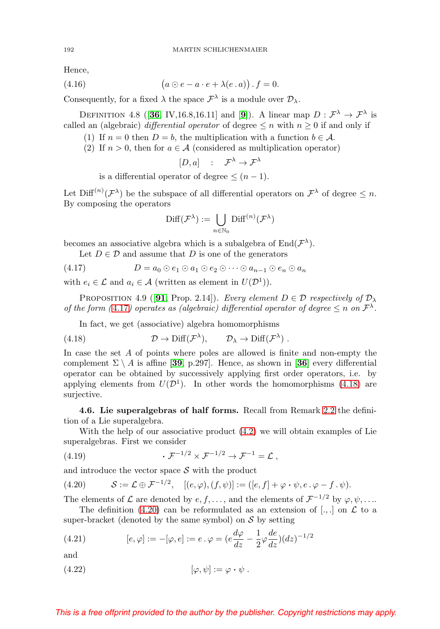Hence,

(4.16) 
$$
(a \odot e - a \cdot e + \lambda(e \cdot a)) \cdot f = 0.
$$

Consequently, for a fixed  $\lambda$  the space  $\mathcal{F}^{\lambda}$  is a module over  $\mathcal{D}_{\lambda}$ .

DEFINITION 4.8 ([**[36](#page-35-3)**, IV, 16.8, 16.11] and [[9](#page-34-2)]). A linear map  $D : \mathcal{F}^{\lambda} \to \mathcal{F}^{\lambda}$  is called an (algebraic) *differential operator* of degree  $\leq n$  with  $n \geq 0$  if and only if

- (1) If  $n = 0$  then  $D = b$ , the multiplication with a function  $b \in \mathcal{A}$ .
- (2) If  $n > 0$ , then for  $a \in \mathcal{A}$  (considered as multiplication operator)

$$
[D, a]
$$
 :  $\mathcal{F}^{\lambda} \to \mathcal{F}^{\lambda}$ 

is a differential operator of degree  $\leq (n-1)$ .

Let  $\text{Diff}^{(n)}(\mathcal{F}^{\lambda})$  be the subspace of all differential operators on  $\mathcal{F}^{\lambda}$  of degree  $\leq n$ . By composing the operators

$$
\operatorname{Diff}(\mathcal{F}^\lambda) := \bigcup_{n \in \mathbb{N}_0} \operatorname{Diff}^{(n)}(\mathcal{F}^\lambda)
$$

becomes an associative algebra which is a subalgebra of  $\text{End}(\mathcal{F}^{\lambda})$ .

Let  $D \in \mathcal{D}$  and assume that D is one of the generators

<span id="page-11-0"></span>
$$
(4.17) \tD = a_0 \odot e_1 \odot a_1 \odot e_2 \odot \cdots \odot a_{n-1} \odot e_n \odot a_n
$$

with  $e_i \in \mathcal{L}$  and  $a_i \in \mathcal{A}$  (written as element in  $U(\mathcal{D}^1)$ ).

PROPOSITION 4.9 ([**[91](#page-38-1)**, Prop. 2.14]). Every element  $D \in \mathcal{D}$  respectively of  $\mathcal{D}_{\lambda}$ of the form ([4.17](#page-11-0)) operates as (algebraic) differential operator of degree  $\leq n$  on  $\mathcal{F}^{\lambda}$ .

In fact, we get (associative) algebra homomorphisms

<span id="page-11-1"></span>(4.18) 
$$
\mathcal{D} \to \text{Diff}(\mathcal{F}^{\lambda}), \qquad \mathcal{D}_{\lambda} \to \text{Diff}(\mathcal{F}^{\lambda}).
$$

In case the set A of points where poles are allowed is finite and non-empty the complement  $\Sigma \setminus A$  is affine [[39](#page-35-4), p.297]. Hence, as shown in [[36](#page-35-3)] every differential operator can be obtained by successively applying first order operators, i.e. by applying elements from  $U(\mathcal{D}^1)$ . In other words the homomorphisms [\(4.18\)](#page-11-1) are surjective.

<span id="page-11-3"></span>**4.6. Lie superalgebras of half forms.** Recall from Remark [2.2](#page-3-0) the definition of a Lie superalgebra.

With the help of our associative product [\(4.2\)](#page-8-1) we will obtain examples of Lie superalgebras. First we consider

(4.19) 
$$
\qquad \qquad \cdot \mathcal{F}^{-1/2} \times \mathcal{F}^{-1/2} \to \mathcal{F}^{-1} = \mathcal{L} \ ,
$$

and introduce the vector space  $S$  with the product

<span id="page-11-2"></span>(4.20) 
$$
\mathcal{S} := \mathcal{L} \oplus \mathcal{F}^{-1/2}, \quad [(e, \varphi), (f, \psi)] := ([e, f] + \varphi \cdot \psi, e \cdot \varphi - f \cdot \psi).
$$

The elements of  $\mathcal L$  are denoted by  $e, f, \ldots$ , and the elements of  $\mathcal F^{-1/2}$  by  $\varphi, \psi, \ldots$ .

The definition [\(4.20\)](#page-11-2) can be reformulated as an extension of [...] on  $\mathcal L$  to a super-bracket (denoted by the same symbol) on  $S$  by setting

(4.21) 
$$
[e, \varphi] := -[\varphi, e] := e \cdot \varphi = (e \frac{d\varphi}{dz} - \frac{1}{2} \varphi \frac{de}{dz})(dz)^{-1/2}
$$

and

(4.22) 
$$
[\varphi, \psi] := \varphi \cdot \psi.
$$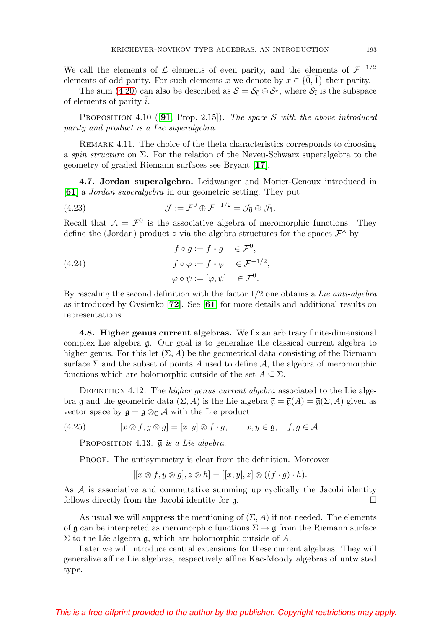We call the elements of  $\mathcal L$  elements of even parity, and the elements of  $\mathcal F^{-1/2}$ elements of odd parity. For such elements x we denote by  $\bar{x} \in {\bar{0}, \bar{1}}$  their parity.

The sum [\(4.20\)](#page-11-2) can also be described as  $S = S_0 \oplus S_1$ , where  $S_{\bar{i}}$  is the subspace of elements of parity  $\overline{i}$ .

PROPOSITION 4.10  $([91, Prop. 2.15])$  $([91, Prop. 2.15])$  $([91, Prop. 2.15])$ . The space S with the above introduced parity and product is a Lie superalgebra.

Remark 4.11. The choice of the theta characteristics corresponds to choosing a spin structure on  $\Sigma$ . For the relation of the Neveu-Schwarz superalgebra to the geometry of graded Riemann surfaces see Bryant [**[17](#page-34-3)**].

**4.7. Jordan superalgebra.** Leidwanger and Morier-Genoux introduced in [**[61](#page-36-5)**] a Jordan superalgebra in our geometric setting. They put

(4.23) 
$$
\mathcal{J} := \mathcal{F}^0 \oplus \mathcal{F}^{-1/2} = \mathcal{J}_{\bar{0}} \oplus \mathcal{J}_{\bar{1}}.
$$

Recall that  $A = \mathcal{F}^0$  is the associative algebra of meromorphic functions. They define the (Jordan) product  $\circ$  via the algebra structures for the spaces  $\mathcal{F}^{\lambda}$  by

(4.24) 
$$
f \circ g := f \cdot g \quad \in \mathcal{F}^0,
$$

$$
f \circ \varphi := f \cdot \varphi \quad \in \mathcal{F}^{-1/2},
$$

$$
\varphi \circ \psi := [\varphi, \psi] \quad \in \mathcal{F}^0.
$$

By rescaling the second definition with the factor  $1/2$  one obtains a Lie anti-algebra as introduced by Ovsienko [**[72](#page-37-11)**]. See [**[61](#page-36-5)**] for more details and additional results on representations.

**4.8. Higher genus current algebras.** We fix an arbitrary finite-dimensional complex Lie algebra g. Our goal is to generalize the classical current algebra to higher genus. For this let  $(\Sigma, A)$  be the geometrical data consisting of the Riemann surface  $\Sigma$  and the subset of points A used to define  $\mathcal{A}$ , the algebra of meromorphic functions which are holomorphic outside of the set  $A \subseteq \Sigma$ .

DEFINITION 4.12. The *higher genus current algebra* associated to the Lie algebra g and the geometric data  $(\Sigma, A)$  is the Lie algebra  $\overline{\mathfrak{g}} = \overline{\mathfrak{g}}(A) = \overline{\mathfrak{g}}(\Sigma, A)$  given as vector space by  $\overline{\mathfrak{g}} = \mathfrak{g} \otimes_{\mathbb{C}} A$  with the Lie product

(4.25) 
$$
[x \otimes f, y \otimes g] = [x, y] \otimes f \cdot g, \qquad x, y \in \mathfrak{g}, \quad f, g \in \mathcal{A}.
$$

PROPOSITION 4.13.  $\overline{g}$  is a Lie algebra.

PROOF. The antisymmetry is clear from the definition. Moreover

$$
[[x\otimes f,y\otimes g],z\otimes h]=[[x,y],z]\otimes ((f\cdot g)\cdot h).
$$

As A is associative and commutative summing up cyclically the Jacobi identity follows directly from the Jacobi identity for  $\mathfrak{g}$ .  $\Box$ 

As usual we will suppress the mentioning of  $(\Sigma, A)$  if not needed. The elements of  $\overline{g}$  can be interpreted as meromorphic functions  $\Sigma \to g$  from the Riemann surface  $\Sigma$  to the Lie algebra  $\mathfrak{g}$ , which are holomorphic outside of A.

Later we will introduce central extensions for these current algebras. They will generalize affine Lie algebras, respectively affine Kac-Moody algebras of untwisted type.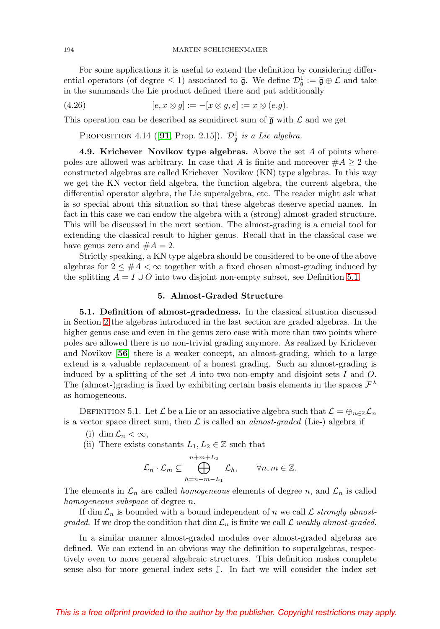For some applications it is useful to extend the definition by considering differential operators (of degree  $\leq 1$ ) associated to  $\bar{\mathfrak{g}}$ . We define  $\mathcal{D}_{\mathfrak{g}}^1 := \bar{\mathfrak{g}} \oplus \mathcal{L}$  and take in the summands the Lie product defined there and put additionally

$$
(4.26) \qquad [e, x \otimes g] := -[x \otimes g, e] := x \otimes (e.g).
$$

This operation can be described as semidirect sum of  $\overline{g}$  with  $\mathcal L$  and we get

PROPOSITION 4.14 ([[91](#page-38-1), Prop. 2.15]).  $\mathcal{D}^1_{\mathfrak{g}}$  is a Lie algebra.

**4.9. Krichever–Novikov type algebras.** Above the set A of points where poles are allowed was arbitrary. In case that A is finite and moreover  $#A > 2$  the constructed algebras are called Krichever–Novikov (KN) type algebras. In this way we get the KN vector field algebra, the function algebra, the current algebra, the differential operator algebra, the Lie superalgebra, etc. The reader might ask what is so special about this situation so that these algebras deserve special names. In fact in this case we can endow the algebra with a (strong) almost-graded structure. This will be discussed in the next section. The almost-grading is a crucial tool for extending the classical result to higher genus. Recall that in the classical case we have genus zero and  $#A = 2$ .

Strictly speaking, a KN type algebra should be considered to be one of the above algebras for  $2 \leq #A < \infty$  together with a fixed chosen almost-grading induced by the splitting  $A = I \cup O$  into two disjoint non-empty subset, see Definition [5.1.](#page-13-0)

## **5. Almost-Graded Structure**

**5.1. Definition of almost-gradedness.** In the classical situation discussed in Section [2](#page-1-0) the algebras introduced in the last section are graded algebras. In the higher genus case and even in the genus zero case with more than two points where poles are allowed there is no non-trivial grading anymore. As realized by Krichever and Novikov [**[56](#page-36-0)**] there is a weaker concept, an almost-grading, which to a large extend is a valuable replacement of a honest grading. Such an almost-grading is induced by a splitting of the set A into two non-empty and disjoint sets I and  $O$ . The (almost-)grading is fixed by exhibiting certain basis elements in the spaces  $\mathcal{F}^{\lambda}$ as homogeneous.

<span id="page-13-0"></span>DEFINITION 5.1. Let  $\mathcal L$  be a Lie or an associative algebra such that  $\mathcal L = \bigoplus_{n \in \mathbb Z} \mathcal L_n$ is a vector space direct sum, then  $\mathcal L$  is called an *almost-graded* (Lie-) algebra if

- (i) dim  $\mathcal{L}_n < \infty$ ,
- (ii) There exists constants  $L_1, L_2 \in \mathbb{Z}$  such that

$$
\mathcal{L}_n \cdot \mathcal{L}_m \subseteq \bigoplus_{h=n+m-L_1}^{n+m+L_2} \mathcal{L}_h, \qquad \forall n,m \in \mathbb{Z}.
$$

The elements in  $\mathcal{L}_n$  are called *homogeneous* elements of degree n, and  $\mathcal{L}_n$  is called homogeneous subspace of degree n.

If dim  $\mathcal{L}_n$  is bounded with a bound independent of n we call  $\mathcal L$  strongly almostgraded. If we drop the condition that dim  $\mathcal{L}_n$  is finite we call  $\mathcal L$  weakly almost-graded.

In a similar manner almost-graded modules over almost-graded algebras are defined. We can extend in an obvious way the definition to superalgebras, respectively even to more general algebraic structures. This definition makes complete sense also for more general index sets J. In fact we will consider the index set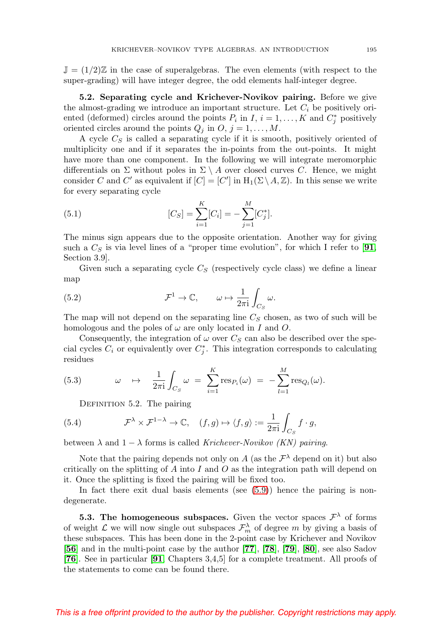$\mathbb{J} = (1/2)\mathbb{Z}$  in the case of superalgebras. The even elements (with respect to the super-grading) will have integer degree, the odd elements half-integer degree.

**5.2. Separating cycle and Krichever-Novikov pairing.** Before we give the almost-grading we introduce an important structure. Let  $C_i$  be positively oriented (deformed) circles around the points  $P_i$  in  $I, i = 1, ..., K$  and  $C_j^*$  positively oriented circles around the points  $Q_j$  in  $O, j = 1, \ldots, M$ .

A cycle  $C_S$  is called a separating cycle if it is smooth, positively oriented of multiplicity one and if it separates the in-points from the out-points. It might have more than one component. In the following we will integrate meromorphic differentials on  $\Sigma$  without poles in  $\Sigma \setminus A$  over closed curves C. Hence, we might consider C and C' as equivalent if  $[C] = [C']$  in  $H_1(\Sigma \setminus A, \mathbb{Z})$ . In this sense we write for every separating cycle

(5.1) 
$$
[C_S] = \sum_{i=1}^{K} [C_i] = -\sum_{j=1}^{M} [C_j^*].
$$

The minus sign appears due to the opposite orientation. Another way for giving such a  $C_S$  is via level lines of a "proper time evolution", for which I refer to [[91](#page-38-1), Section 3.9].

Given such a separating cycle  $C_S$  (respectively cycle class) we define a linear map

(5.2) 
$$
\mathcal{F}^1 \to \mathbb{C}, \qquad \omega \mapsto \frac{1}{2\pi i} \int_{C_S} \omega.
$$

The map will not depend on the separating line  $C<sub>S</sub>$  chosen, as two of such will be homologous and the poles of  $\omega$  are only located in I and O.

Consequently, the integration of  $\omega$  over  $C_S$  can also be described over the special cycles  $C_i$  or equivalently over  $C_j^*$ . This integration corresponds to calculating residues

(5.3) 
$$
\omega \mapsto \frac{1}{2\pi i} \int_{C_S} \omega = \sum_{i=1}^K \text{res}_{P_i}(\omega) = -\sum_{l=1}^M \text{res}_{Q_l}(\omega).
$$

DEFINITION 5.2. The pairing

<span id="page-14-0"></span>(5.4) 
$$
\mathcal{F}^{\lambda} \times \mathcal{F}^{1-\lambda} \to \mathbb{C}, \quad (f,g) \mapsto \langle f,g \rangle := \frac{1}{2\pi i} \int_{C_S} f \cdot g,
$$

between  $\lambda$  and  $1 - \lambda$  forms is called Krichever-Novikov (KN) pairing.

Note that the pairing depends not only on A (as the  $\mathcal{F}^{\lambda}$  depend on it) but also critically on the splitting of A into I and O as the integration path will depend on it. Once the splitting is fixed the pairing will be fixed too.

In fact there exit dual basis elements (see  $(5.9)$ ) hence the pairing is nondegenerate.

**5.3. The homogeneous subspaces.** Given the vector spaces  $\mathcal{F}^{\lambda}$  of forms of weight  $\mathcal L$  we will now single out subspaces  $\mathcal F_m^{\lambda}$  of degree m by giving a basis of these subspaces. This has been done in the 2-point case by Krichever and Novikov [**[56](#page-36-0)**] and in the multi-point case by the author [**[77](#page-37-0)**], [**[78](#page-37-1)**], [**[79](#page-37-2)**], [**[80](#page-37-3)**], see also Sadov [**[76](#page-37-9)**]. See in particular [**[91](#page-38-1)**, Chapters 3,4,5] for a complete treatment. All proofs of the statements to come can be found there.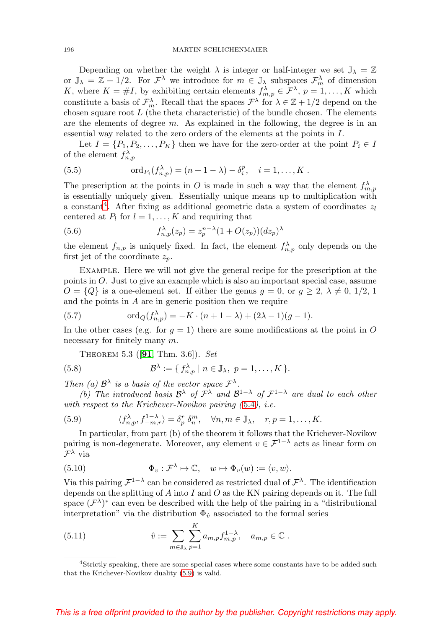Depending on whether the weight  $\lambda$  is integer or half-integer we set  $\mathbb{J}_{\lambda} = \mathbb{Z}$ or  $\mathbb{J}_{\lambda} = \mathbb{Z} + 1/2$ . For  $\mathcal{F}^{\lambda}$  we introduce for  $m \in \mathbb{J}_{\lambda}$  subspaces  $\mathcal{F}_{m}^{\lambda}$  of dimension K, where  $K = \#I$ , by exhibiting certain elements  $f_{m,p}^{\lambda} \in \mathcal{F}^{\lambda}$ ,  $p = 1, \ldots, K$  which constitute a basis of  $\mathcal{F}_m^{\lambda}$ . Recall that the spaces  $\mathcal{F}^{\lambda}$  for  $\lambda \in \mathbb{Z} + 1/2$  depend on the chosen square root  $L$  (the theta characteristic) of the bundle chosen. The elements are the elements of degree m. As explained in the following, the degree is in an essential way related to the zero orders of the elements at the points in I.

Let  $I = \{P_1, P_2, \ldots, P_K\}$  then we have for the zero-order at the point  $P_i \in I$ of the element  $f_{n,p}^{\lambda}$ 

(5.5) 
$$
\text{ord}_{P_i}(f_{n,p}^{\lambda}) = (n+1-\lambda) - \delta_i^p, \quad i = 1, ..., K.
$$

The prescription at the points in O is made in such a way that the element  $f_{m,p}^{\lambda}$ is essentially uniquely given. Essentially unique means up to multiplication with a constant<sup>[4](#page-15-1)</sup>. After fixing as additional geometric data a system of coordinates  $z<sub>l</sub>$ centered at  $P_l$  for  $l = 1, \ldots, K$  and requiring that

(5.6) 
$$
f_{n,p}^{\lambda}(z_p) = z_p^{n-\lambda}(1 + O(z_p))(dz_p)^{\lambda}
$$

the element  $f_{n,p}$  is uniquely fixed. In fact, the element  $f_{n,p}^{\lambda}$  only depends on the first jet of the coordinate  $z_p$ .

Example. Here we will not give the general recipe for the prescription at the points in O. Just to give an example which is also an important special case, assume  $O = \{Q\}$  is a one-element set. If either the genus  $g = 0$ , or  $g \geq 2$ ,  $\lambda \neq 0$ , 1/2, 1 and the points in A are in generic position then we require

(5.7) 
$$
\text{ord}_{Q}(f_{n,p}^{\lambda}) = -K \cdot (n+1-\lambda) + (2\lambda - 1)(g-1).
$$

In the other cases (e.g. for  $g = 1$ ) there are some modifications at the point in O necessary for finitely many m.

Theorem 5.3 ([**[91](#page-38-1)**, Thm. 3.6]). Set

(5.8) 
$$
\mathcal{B}^{\lambda} := \{ f_{n,p}^{\lambda} \mid n \in \mathbb{J}_{\lambda}, \ p = 1, \ldots, K \}.
$$

Then (a)  $\mathcal{B}^{\lambda}$  is a basis of the vector space  $\mathcal{F}^{\lambda}$ .

(b) The introduced basis  $\mathcal{B}^{\lambda}$  of  $\mathcal{F}^{\lambda}$  and  $\mathcal{B}^{1-\lambda}$  of  $\mathcal{F}^{1-\lambda}$  are dual to each other with respect to the Krichever-Novikov pairing  $(5.4)$  $(5.4)$  $(5.4)$ , i.e.

<span id="page-15-0"></span>(5.9) 
$$
\langle f_{n,p}^{\lambda}, f_{-m,r}^{1-\lambda} \rangle = \delta_p^r \, \delta_n^m, \quad \forall n,m \in \mathbb{J}_{\lambda}, \quad r,p = 1,\ldots,K.
$$

In particular, from part (b) of the theorem it follows that the Krichever-Novikov pairing is non-degenerate. Moreover, any element  $v \in \mathcal{F}^{1-\lambda}$  acts as linear form on  $\mathcal{F}^{\lambda}$  via

(5.10) 
$$
\Phi_v : \mathcal{F}^\lambda \mapsto \mathbb{C}, \quad w \mapsto \Phi_v(w) := \langle v, w \rangle.
$$

Via this pairing  $\mathcal{F}^{1-\lambda}$  can be considered as restricted dual of  $\mathcal{F}^{\lambda}$ . The identification depends on the splitting of  $A$  into  $I$  and  $O$  as the KN pairing depends on it. The full space  $(\mathcal{F}^{\lambda})^*$  can even be described with the help of the pairing in a "distributional" interpretation" via the distribution  $\Phi_{\hat{v}}$  associated to the formal series

<span id="page-15-2"></span>(5.11) 
$$
\hat{v} := \sum_{m \in \mathbb{J}_{\lambda}} \sum_{p=1}^{K} a_{m,p} f_{m,p}^{1-\lambda}, \quad a_{m,p} \in \mathbb{C}.
$$

<span id="page-15-1"></span><sup>4</sup>Strictly speaking, there are some special cases where some constants have to be added such that the Krichever-Novikov duality [\(5.9\)](#page-15-0) is valid.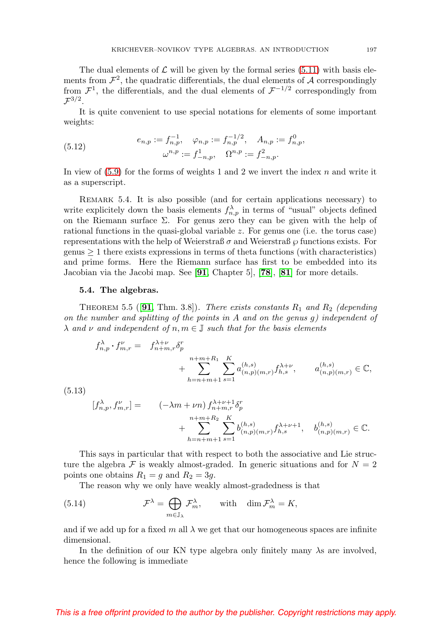The dual elements of  $\mathcal L$  will be given by the formal series [\(5.11\)](#page-15-2) with basis elements from  $\mathcal{F}^2$ , the quadratic differentials, the dual elements of A correspondingly from  $\mathcal{F}^1$ , the differentials, and the dual elements of  $\mathcal{F}^{-1/2}$  correspondingly from  $\mathcal{F}^{3/2}$ .

It is quite convenient to use special notations for elements of some important weights:

(5.12) 
$$
e_{n,p} := f_{n,p}^{-1}, \quad \varphi_{n,p} := f_{n,p}^{-1/2}, \quad A_{n,p} := f_{n,p}^{0}, \omega^{n,p} := f_{-n,p}^{1}, \quad \Omega^{n,p} := f_{-n,p}^{2}.
$$

In view of  $(5.9)$  for the forms of weights 1 and 2 we invert the index n and write it as a superscript.

Remark 5.4. It is also possible (and for certain applications necessary) to write explicitely down the basis elements  $f_{n,p}^{\lambda}$  in terms of "usual" objects defined on the Riemann surface  $\Sigma$ . For genus zero they can be given with the help of rational functions in the quasi-global variable z. For genus one (i.e. the torus case) representations with the help of Weierstraß σ and Weierstraß  $\wp$  functions exists. For  $g$ enus  $\geq 1$  there exists expressions in terms of theta functions (with characteristics) and prime forms. Here the Riemann surface has first to be embedded into its Jacobian via the Jacobi map. See [**[91](#page-38-1)**, Chapter 5], [**[78](#page-37-1)**], [**[81](#page-37-4)**] for more details.

#### **5.4. The algebras.**

THEOREM 5.5 ( $[91, Thm. 3.8]$  $[91, Thm. 3.8]$  $[91, Thm. 3.8]$ ). There exists constants  $R_1$  and  $R_2$  (depending on the number and splitting of the points in A and on the genus  $g$ ) independent of  $\lambda$  and  $\nu$  and independent of  $n, m \in \mathbb{J}$  such that for the basis elements

$$
f_{n,p}^{\lambda} \cdot f_{m,r}^{\nu} = f_{n+m,r}^{\lambda + \nu} \delta_p^r
$$
  
+ 
$$
\sum_{h=n+m+1}^{n+m+R_1} \sum_{s=1}^{K} a_{(n,p)(m,r)}^{(h,s)} f_{h,s}^{\lambda + \nu}, \qquad a_{(n,p)(m,r)}^{(h,s)} \in \mathbb{C},
$$

<span id="page-16-0"></span>(5.13)

$$
[f_{n,p}^{\lambda}, f_{m,r}^{\nu}] = (-\lambda m + \nu n) f_{n+m,r}^{\lambda + \nu + 1} \delta_p^r
$$
  
+ 
$$
\sum_{h=n+m+1}^{n+m+R_2} \sum_{s=1}^{K} b_{(n,p)(m,r)}^{(h,s)} f_{h,s}^{\lambda + \nu + 1}, b_{(n,p)(m,r)}^{(h,s)} \in \mathbb{C}.
$$

This says in particular that with respect to both the associative and Lie structure the algebra  $\mathcal F$  is weakly almost-graded. In generic situations and for  $N=2$ points one obtains  $R_1 = g$  and  $R_2 = 3g$ .

The reason why we only have weakly almost-gradedness is that

(5.14) 
$$
\mathcal{F}^{\lambda} = \bigoplus_{m \in \mathbb{J}_{\lambda}} \mathcal{F}^{\lambda}_{m}, \quad \text{with} \quad \dim \mathcal{F}^{\lambda}_{m} = K,
$$

and if we add up for a fixed m all  $\lambda$  we get that our homogeneous spaces are infinite dimensional.

In the definition of our KN type algebra only finitely many  $\lambda s$  are involved, hence the following is immediate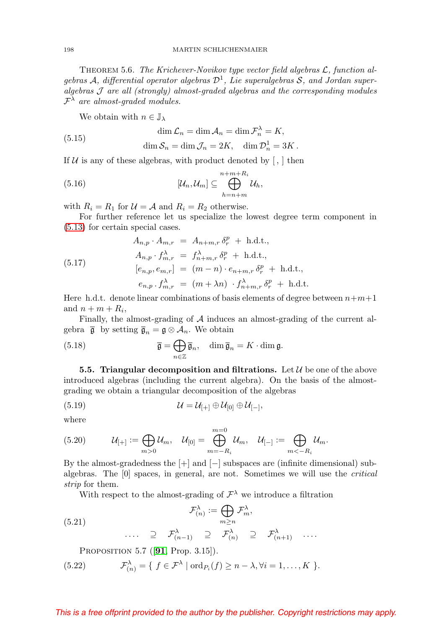THEOREM 5.6. The Krichever-Novikov type vector field algebras  $\mathcal{L}$ , function algebras A, differential operator algebras  $\mathcal{D}^1$ , Lie superalgebras S, and Jordan superalgebras  $J$  are all (strongly) almost-graded algebras and the corresponding modules  $\mathcal{F}^{\lambda}$  are almost-graded modules.

We obtain with  $n \in \mathbb{J}_{\lambda}$ 

(5.15) 
$$
\dim \mathcal{L}_n = \dim \mathcal{A}_n = \dim \mathcal{F}_n^{\lambda} = K,
$$

$$
\dim \mathcal{S}_n = \dim \mathcal{J}_n = 2K, \quad \dim \mathcal{D}_n^1 = 3K.
$$

If  $U$  is any of these algebras, with product denoted by  $\lceil$ ,  $\rceil$  then

(5.16) 
$$
[\mathcal{U}_n, \mathcal{U}_m] \subseteq \bigoplus_{h=n+m}^{n+m+R_i} \mathcal{U}_h,
$$

with  $R_i = R_1$  for  $\mathcal{U} = \mathcal{A}$  and  $R_i = R_2$  otherwise.

For further reference let us specialize the lowest degree term component in [\(5.13\)](#page-16-0) for certain special cases.

(5.17) 
$$
A_{n,p} \cdot A_{m,r} = A_{n+m,r} \delta_r^p + \text{h.d.t.},
$$

$$
A_{n,p} \cdot f_{m,r}^{\lambda} = f_{n+m,r}^{\lambda} \delta_r^p + \text{h.d.t.},
$$

$$
[e_{n,p}, e_{m,r}] = (m-n) \cdot e_{n+m,r} \delta_r^p + \text{h.d.t.},
$$

$$
e_{n,p} \cdot f_{m,r}^{\lambda} = (m+\lambda n) \cdot f_{n+m,r}^{\lambda} \delta_r^p + \text{h.d.t.}
$$

Here h.d.t. denote linear combinations of basis elements of degree between  $n+m+1$ and  $n + m + R_i$ ,

Finally, the almost-grading of A induces an almost-grading of the current algebra  $\bar{\mathfrak{g}}$  by setting  $\bar{\mathfrak{g}}_n = \mathfrak{g} \otimes A_n$ . We obtain

(5.18) 
$$
\overline{\mathfrak{g}} = \bigoplus_{n \in \mathbb{Z}} \overline{\mathfrak{g}}_n, \quad \dim \overline{\mathfrak{g}}_n = K \cdot \dim \mathfrak{g}.
$$

**5.5. Triangular decomposition and filtrations.** Let  $\mathcal{U}$  be one of the above introduced algebras (including the current algebra). On the basis of the almostgrading we obtain a triangular decomposition of the algebras

(5.19) U = U[+] ⊕ U[0] ⊕ U[−],

where

(5.20) <sup>U</sup>[+] := m>0 Um, U[0] = m -=0 m=−R<sup>i</sup> <sup>U</sup>m, <sup>U</sup>[−] := m<−R<sup>i</sup> Um.

By the almost-gradedness the [+] and [−] subspaces are (infinite dimensional) subalgebras. The  $[0]$  spaces, in general, are not. Sometimes we will use the *critical* strip for them.

With respect to the almost-grading of  $\mathcal{F}^{\lambda}$  we introduce a filtration

(5.21) 
$$
\mathcal{F}_{(n)}^{\lambda} := \bigoplus_{m \geq n} \mathcal{F}_{m}^{\lambda},
$$

$$
\cdots \quad \supseteq \quad \mathcal{F}_{(n-1)}^{\lambda} \quad \supseteq \quad \mathcal{F}_{(n)}^{\lambda} \quad \supseteq \quad \mathcal{F}_{(n+1)}^{\lambda} \quad \cdots
$$

Proposition 5.7 ([**[91](#page-38-1)**, Prop. 3.15]).

(5.22) 
$$
\mathcal{F}_{(n)}^{\lambda} = \{ f \in \mathcal{F}^{\lambda} \mid \text{ord}_{P_i}(f) \geq n - \lambda, \forall i = 1, ..., K \}.
$$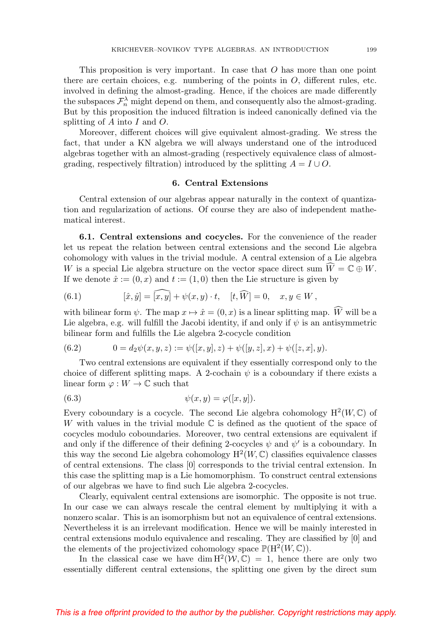This proposition is very important. In case that O has more than one point there are certain choices, e.g. numbering of the points in  $O$ , different rules, etc. involved in defining the almost-grading. Hence, if the choices are made differently the subspaces  $\mathcal{F}_n^{\lambda}$  might depend on them, and consequently also the almost-grading. But by this proposition the induced filtration is indeed canonically defined via the splitting of  $A$  into  $I$  and  $O$ .

Moreover, different choices will give equivalent almost-grading. We stress the fact, that under a KN algebra we will always understand one of the introduced algebras together with an almost-grading (respectively equivalence class of almostgrading, respectively filtration) introduced by the splitting  $A = I \cup O$ .

#### **6. Central Extensions**

Central extension of our algebras appear naturally in the context of quantization and regularization of actions. Of course they are also of independent mathematical interest.

**6.1. Central extensions and cocycles.** For the convenience of the reader let us repeat the relation between central extensions and the second Lie algebra cohomology with values in the trivial module. A central extension of a Lie algebra W is a special Lie algebra structure on the vector space direct sum  $\widehat{W} = \mathbb{C} \oplus W$ . If we denote  $\hat{x} := (0, x)$  and  $t := (1, 0)$  then the Lie structure is given by

(6.1) 
$$
[\hat{x}, \hat{y}] = \widehat{[x, y]} + \psi(x, y) \cdot t, \quad [t, \widehat{W}] = 0, \quad x, y \in W,
$$

with bilinear form  $\psi$ . The map  $x \mapsto \hat{x} = (0, x)$  is a linear splitting map. W will be a Lie algebra, e.g. will fulfill the Jacobi identity, if and only if  $\psi$  is an antisymmetric bilinear form and fulfills the Lie algebra 2-cocycle condition

(6.2) 
$$
0 = d_2 \psi(x, y, z) := \psi([x, y], z) + \psi([y, z], x) + \psi([z, x], y).
$$

Two central extensions are equivalent if they essentially correspond only to the choice of different splitting maps. A 2-cochain  $\psi$  is a coboundary if there exists a linear form  $\varphi : W \to \mathbb{C}$  such that

(6.3) 
$$
\psi(x,y) = \varphi([x,y]).
$$

Every coboundary is a cocycle. The second Lie algebra cohomology  $H^2(W, \mathbb{C})$  of W with values in the trivial module  $\mathbb C$  is defined as the quotient of the space of cocycles modulo coboundaries. Moreover, two central extensions are equivalent if and only if the difference of their defining 2-cocycles  $\psi$  and  $\psi'$  is a coboundary. In this way the second Lie algebra cohomology  $H^2(W, \mathbb{C})$  classifies equivalence classes of central extensions. The class [0] corresponds to the trivial central extension. In this case the splitting map is a Lie homomorphism. To construct central extensions of our algebras we have to find such Lie algebra 2-cocycles.

Clearly, equivalent central extensions are isomorphic. The opposite is not true. In our case we can always rescale the central element by multiplying it with a nonzero scalar. This is an isomorphism but not an equivalence of central extensions. Nevertheless it is an irrelevant modification. Hence we will be mainly interested in central extensions modulo equivalence and rescaling. They are classified by [0] and the elements of the projectivized cohomology space  $\mathbb{P}(H^2(W,\mathbb{C}))$ .

In the classical case we have dim  $H^2(\mathcal{W}, \mathbb{C}) = 1$ , hence there are only two essentially different central extensions, the splitting one given by the direct sum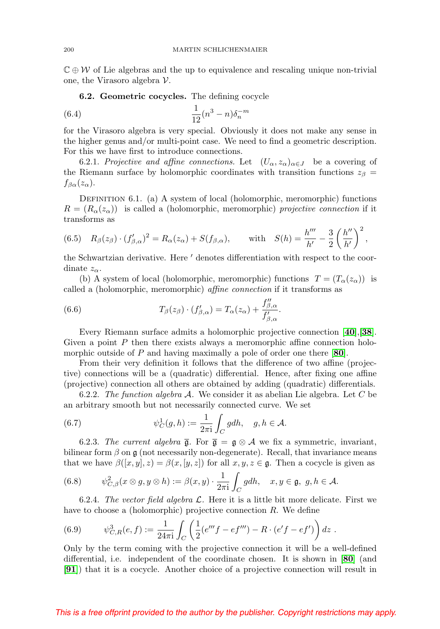$\mathbb{C} \oplus \mathcal{W}$  of Lie algebras and the up to equivalence and rescaling unique non-trivial one, the Virasoro algebra V.

**6.2. Geometric cocycles.** The defining cocycle

(6.4) 
$$
\frac{1}{12}(n^3 - n)\delta_n^{-m}
$$

for the Virasoro algebra is very special. Obviously it does not make any sense in the higher genus and/or multi-point case. We need to find a geometric description. For this we have first to introduce connections.

6.2.1. Projective and affine connections. Let  $(U_\alpha, z_\alpha)_{\alpha \in J}$  be a covering of the Riemann surface by holomorphic coordinates with transition functions  $z_{\beta}$  =  $f_{\beta\alpha}(z_\alpha)$ .

Definition 6.1. (a) A system of local (holomorphic, meromorphic) functions  $R = (R_{\alpha}(z_{\alpha}))$  is called a (holomorphic, meromorphic) projective connection if it transforms as

(6.5) 
$$
R_{\beta}(z_{\beta}) \cdot (f'_{\beta,\alpha})^2 = R_{\alpha}(z_{\alpha}) + S(f_{\beta,\alpha}), \quad \text{with} \quad S(h) = \frac{h'''}{h'} - \frac{3}{2} \left(\frac{h''}{h'}\right)^2,
$$

the Schwartzian derivative. Here  $'$  denotes differentiation with respect to the coordinate  $z_{\alpha}$ .

(b) A system of local (holomorphic, meromorphic) functions  $T = (T_{\alpha}(z_{\alpha}))$  is called a (holomorphic, meromorphic) affine connection if it transforms as

(6.6) 
$$
T_{\beta}(z_{\beta}) \cdot (f'_{\beta,\alpha}) = T_{\alpha}(z_{\alpha}) + \frac{f''_{\beta,\alpha}}{f'_{\beta,\alpha}}.
$$

Every Riemann surface admits a holomorphic projective connection [**[40](#page-35-5)**],[**[38](#page-35-6)**]. Given a point  $P$  then there exists always a meromorphic affine connection holomorphic outside of P and having maximally a pole of order one there [**[80](#page-37-3)**].

From their very definition it follows that the difference of two affine (projective) connections will be a (quadratic) differential. Hence, after fixing one affine (projective) connection all others are obtained by adding (quadratic) differentials.

6.2.2. The function algebra  $\mathcal A$ . We consider it as abelian Lie algebra. Let C be an arbitrary smooth but not necessarily connected curve. We set

<span id="page-19-0"></span>(6.7) 
$$
\psi_C^1(g, h) := \frac{1}{2\pi i} \int_C g dh, \quad g, h \in \mathcal{A}.
$$

6.2.3. The current algebra  $\overline{g}$ . For  $\overline{g} = g \otimes A$  we fix a symmetric, invariant, bilinear form  $\beta$  on  $\mathfrak g$  (not necessarily non-degenerate). Recall, that invariance means that we have  $\beta([x, y], z) = \beta(x, [y, z])$  for all  $x, y, z \in \mathfrak{g}$ . Then a cocycle is given as

<span id="page-19-2"></span>(6.8) 
$$
\psi_{C,\beta}^2(x \otimes g, y \otimes h) := \beta(x,y) \cdot \frac{1}{2\pi i} \int_C g dh, \quad x, y \in \mathfrak{g}, \ g, h \in \mathcal{A}.
$$

6.2.4. The vector field algebra  $\mathcal{L}$ . Here it is a little bit more delicate. First we have to choose a (holomorphic) projective connection  $R$ . We define

<span id="page-19-1"></span>(6.9) 
$$
\psi_{C,R}^3(e,f) := \frac{1}{24\pi i} \int_C \left( \frac{1}{2} (e'''f - ef''') - R \cdot (e'f - ef') \right) dz.
$$

Only by the term coming with the projective connection it will be a well-defined differential, i.e. independent of the coordinate chosen. It is shown in [**[80](#page-37-3)**] (and [**[91](#page-38-1)**]) that it is a cocycle. Another choice of a projective connection will result in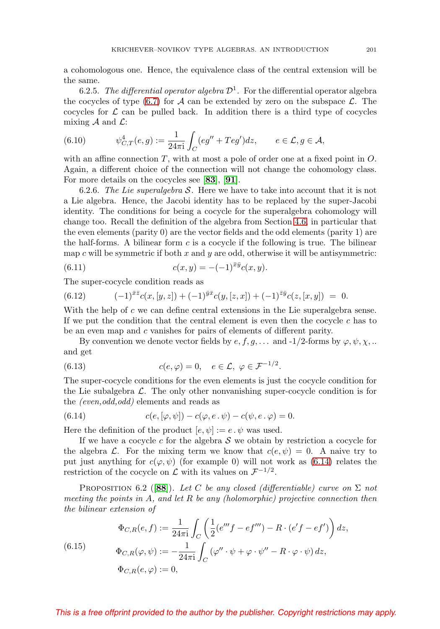a cohomologous one. Hence, the equivalence class of the central extension will be the same.

6.2.5. The differential operator algebra  $\mathcal{D}^1$ . For the differential operator algebra the cocycles of type [\(6.7\)](#page-19-0) for A can be extended by zero on the subspace  $\mathcal{L}$ . The cocycles for  $\mathcal L$  can be pulled back. In addition there is a third type of cocycles mixing  $A$  and  $\mathcal{L}$ :

<span id="page-20-2"></span>(6.10) 
$$
\psi_{C,T}^4(e,g) := \frac{1}{24\pi i} \int_C (eg'' + Teg')dz, \qquad e \in \mathcal{L}, g \in \mathcal{A},
$$

with an affine connection T, with at most a pole of order one at a fixed point in O. Again, a different choice of the connection will not change the cohomology class. For more details on the cocycles see [**[83](#page-37-7)**], [**[91](#page-38-1)**].

6.2.6. The Lie superalgebra S. Here we have to take into account that it is not a Lie algebra. Hence, the Jacobi identity has to be replaced by the super-Jacobi identity. The conditions for being a cocycle for the superalgebra cohomology will change too. Recall the definition of the algebra from Section [4.6,](#page-11-3) in particular that the even elements (parity 0) are the vector fields and the odd elements (parity 1) are the half-forms. A bilinear form  $c$  is a cocycle if the following is true. The bilinear map  $c$  will be symmetric if both  $x$  and  $y$  are odd, otherwise it will be antisymmetric:

(6.11) 
$$
c(x,y) = -(-1)^{\bar{x}\bar{y}}c(x,y).
$$

The super-cocycle condition reads as

(6.12) 
$$
(-1)^{\bar{x}\bar{z}}c(x,[y,z]) + (-1)^{\bar{y}\bar{x}}c(y,[z,x]) + (-1)^{\bar{z}\bar{y}}c(z,[x,y]) = 0.
$$

With the help of  $c$  we can define central extensions in the Lie superalgebra sense. If we put the condition that the central element is even then the cocycle  $c$  has to be an even map and c vanishes for pairs of elements of different parity.

By convention we denote vector fields by  $e, f, g, \ldots$  and  $-1/2$ -forms by  $\varphi, \psi, \chi, \ldots$ and get

(6.13) 
$$
c(e, \varphi) = 0, \quad e \in \mathcal{L}, \ \varphi \in \mathcal{F}^{-1/2}.
$$

The super-cocycle conditions for the even elements is just the cocycle condition for the Lie subalgebra  $\mathcal{L}$ . The only other nonvanishing super-cocycle condition is for the (even,odd,odd) elements and reads as

<span id="page-20-0"></span>(6.14) 
$$
c(e, [\varphi, \psi]) - c(\varphi, e \cdot \psi) - c(\psi, e \cdot \varphi) = 0.
$$

Here the definition of the product  $[e, \psi] := e \cdot \psi$  was used.

If we have a cocycle c for the algebra  $S$  we obtain by restriction a cocycle for the algebra  $\mathcal{L}$ . For the mixing term we know that  $c(e, \psi) = 0$ . A naive try to put just anything for  $c(\varphi, \psi)$  (for example 0) will not work as [\(6.14\)](#page-20-0) relates the restriction of the cocycle on  $\mathcal L$  with its values on  $\mathcal F^{-1/2}$ .

PROPOSITION 6.2 ([[88](#page-37-12)]). Let C be any closed (differentiable) curve on  $\Sigma$  not meeting the points in A, and let R be any (holomorphic) projective connection then the bilinear extension of

<span id="page-20-1"></span>(6.15) 
$$
\Phi_{C,R}(e,f) := \frac{1}{24\pi i} \int_C \left( \frac{1}{2} (e'''f - ef''') - R \cdot (e'f - ef') \right) dz,
$$

$$
\Phi_{C,R}(\varphi, \psi) := -\frac{1}{24\pi i} \int_C (\varphi'' \cdot \psi + \varphi \cdot \psi'' - R \cdot \varphi \cdot \psi) dz,
$$

$$
\Phi_{C,R}(e, \varphi) := 0,
$$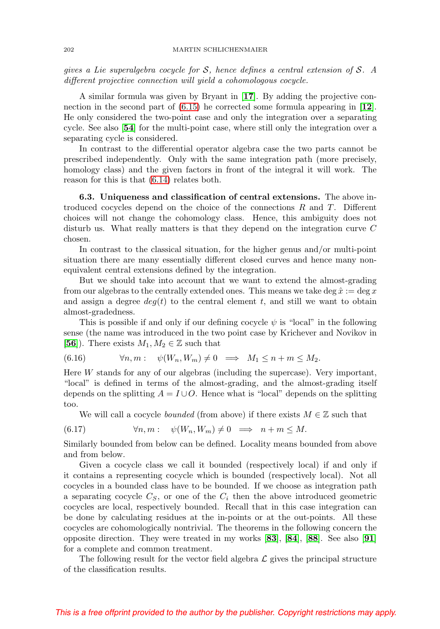gives a Lie superalgebra cocycle for S, hence defines a central extension of S. A different projective connection will yield a cohomologous cocycle.

A similar formula was given by Bryant in [**[17](#page-34-3)**]. By adding the projective connection in the second part of [\(6.15\)](#page-20-1) he corrected some formula appearing in [**[12](#page-34-4)**]. He only considered the two-point case and only the integration over a separating cycle. See also [**[54](#page-36-6)**] for the multi-point case, where still only the integration over a separating cycle is considered.

In contrast to the differential operator algebra case the two parts cannot be prescribed independently. Only with the same integration path (more precisely, homology class) and the given factors in front of the integral it will work. The reason for this is that [\(6.14\)](#page-20-0) relates both.

<span id="page-21-0"></span>**6.3. Uniqueness and classification of central extensions.** The above introduced cocycles depend on the choice of the connections  $R$  and  $T$ . Different choices will not change the cohomology class. Hence, this ambiguity does not disturb us. What really matters is that they depend on the integration curve C chosen.

In contrast to the classical situation, for the higher genus and/or multi-point situation there are many essentially different closed curves and hence many nonequivalent central extensions defined by the integration.

But we should take into account that we want to extend the almost-grading from our algebras to the centrally extended ones. This means we take deg  $\hat{x} := \deg x$ and assign a degree  $deg(t)$  to the central element t, and still we want to obtain almost-gradedness.

This is possible if and only if our defining cocycle  $\psi$  is "local" in the following sense (the name was introduced in the two point case by Krichever and Novikov in [**[56](#page-36-0)**]). There exists  $M_1, M_2 \in \mathbb{Z}$  such that

(6.16) ∀n, m : ψ(Wn, Wm) =0 =⇒ M<sup>1</sup> ≤ n + m ≤ M2.

Here W stands for any of our algebras (including the supercase). Very important, "local" is defined in terms of the almost-grading, and the almost-grading itself depends on the splitting  $A = I \cup O$ . Hence what is "local" depends on the splitting too.

We will call a cocycle *bounded* (from above) if there exists  $M \in \mathbb{Z}$  such that

(6.17) 
$$
\forall n,m: \quad \psi(W_n,W_m) \neq 0 \implies n+m \leq M.
$$

Similarly bounded from below can be defined. Locality means bounded from above and from below.

Given a cocycle class we call it bounded (respectively local) if and only if it contains a representing cocycle which is bounded (respectively local). Not all cocycles in a bounded class have to be bounded. If we choose as integration path a separating cocycle  $C_S$ , or one of the  $C_i$  then the above introduced geometric cocycles are local, respectively bounded. Recall that in this case integration can be done by calculating residues at the in-points or at the out-points. All these cocycles are cohomologically nontrivial. The theorems in the following concern the opposite direction. They were treated in my works [**[83](#page-37-7)**], [**[84](#page-37-8)**], [**[88](#page-37-12)**]. See also [**[91](#page-38-1)**] for a complete and common treatment.

The following result for the vector field algebra  $\mathcal L$  gives the principal structure of the classification results.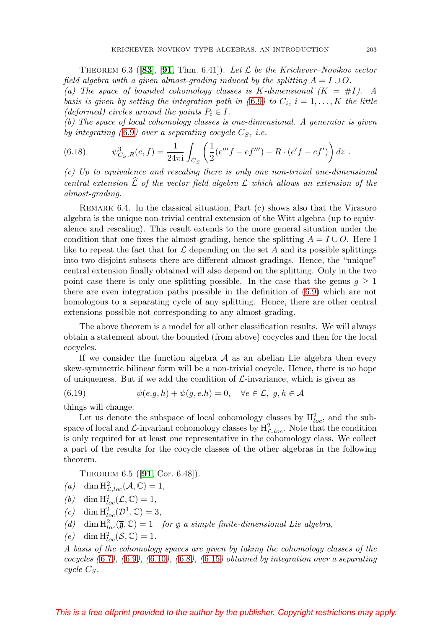THEOREM 6.3 ( $[83]$  $[83]$  $[83]$ ,  $[91, Thm. 6.41]$  $[91, Thm. 6.41]$  $[91, Thm. 6.41]$ ). Let  $\mathcal L$  be the Krichever–Novikov vector field algebra with a given almost-grading induced by the splitting  $A = I \cup O$ . (a) The space of bounded cohomology classes is K-dimensional  $(K = #I)$ . A basis is given by setting the integration path in ([6.9](#page-19-1)) to  $C_i$ ,  $i = 1, \ldots, K$  the little (deformed) circles around the points  $P_i \in I$ .

(b) The space of local cohomology classes is one-dimensional. A generator is given by integrating  $(6.9)$  $(6.9)$  $(6.9)$  over a separating cocycle  $C_S$ , i.e.

<span id="page-22-0"></span>(6.18) 
$$
\psi_{C_S,R}^3(e,f) = \frac{1}{24\pi \mathrm{i}} \int_{C_S} \left( \frac{1}{2} (e'''f - ef''') - R \cdot (e'f - ef') \right) dz.
$$

(c) Up to equivalence and rescaling there is only one non-trivial one-dimensional central extension  $\hat{\mathcal{L}}$  of the vector field algebra  $\mathcal{L}$  which allows an extension of the almost-grading.

Remark 6.4. In the classical situation, Part (c) shows also that the Virasoro algebra is the unique non-trivial central extension of the Witt algebra (up to equivalence and rescaling). This result extends to the more general situation under the condition that one fixes the almost-grading, hence the splitting  $A = I \cup O$ . Here I like to repeat the fact that for  $\mathcal L$  depending on the set A and its possible splittings into two disjoint subsets there are different almost-gradings. Hence, the "unique" central extension finally obtained will also depend on the splitting. Only in the two point case there is only one splitting possible. In the case that the genus  $q \geq 1$ there are even integration paths possible in the definition of [\(6.9\)](#page-19-1) which are not homologous to a separating cycle of any splitting. Hence, there are other central extensions possible not corresponding to any almost-grading.

The above theorem is a model for all other classification results. We will always obtain a statement about the bounded (from above) cocycles and then for the local cocycles.

If we consider the function algebra  $A$  as an abelian Lie algebra then every skew-symmetric bilinear form will be a non-trivial cocycle. Hence, there is no hope of uniqueness. But if we add the condition of  $\mathcal{L}$ -invariance, which is given as

(6.19) 
$$
\psi(e.g,h) + \psi(g,e.h) = 0, \quad \forall e \in \mathcal{L}, g,h \in \mathcal{A}
$$

things will change.

Let us denote the subspace of local cohomology classes by  $H_{loc}^2$ , and the subspace of local and  $\mathcal{L}$ -invariant cohomology classes by  $H_{\mathcal{L},loc}^2$ . Note that the condition is only required for at least one representative in the cohomology class. We collect a part of the results for the cocycle classes of the other algebras in the following theorem.

Theorem 6.5 ([**[91](#page-38-1)**, Cor. 6.48]).

- (a)  $\dim \mathrm{H}_{\mathcal{L},loc}^2(\mathcal{A}, \mathbb{C})=1,$
- (*b*)  $\dim \mathrm{H}^2_{loc}(\mathcal{L}, \mathbb{C})=1$ ,
- (c)  $\dim \mathrm{H}^2_{loc}(\mathcal{D}^1,\mathbb{C})=3,$
- (d) dim  $\mathrm{H}^2_{loc}(\overline{\mathfrak{g}},\mathbb{C})=1$  for  $\mathfrak g$  a simple finite-dimensional Lie algebra,
- (e) dim  $\mathrm{H}^2_{loc}(\mathcal{S}, \mathbb{C})=1$ .

A basis of the cohomology spaces are given by taking the cohomology classes of the cocycles  $(6.7), (6.9), (6.10), (6.8), (6.15)$  $(6.7), (6.9), (6.10), (6.8), (6.15)$  $(6.7), (6.9), (6.10), (6.8), (6.15)$  $(6.7), (6.9), (6.10), (6.8), (6.15)$  $(6.7), (6.9), (6.10), (6.8), (6.15)$  $(6.7), (6.9), (6.10), (6.8), (6.15)$  $(6.7), (6.9), (6.10), (6.8), (6.15)$  $(6.7), (6.9), (6.10), (6.8), (6.15)$  $(6.7), (6.9), (6.10), (6.8), (6.15)$  $(6.7), (6.9), (6.10), (6.8), (6.15)$  $(6.7), (6.9), (6.10), (6.8), (6.15)$  obtained by integration over a separating cycle  $C_S$ .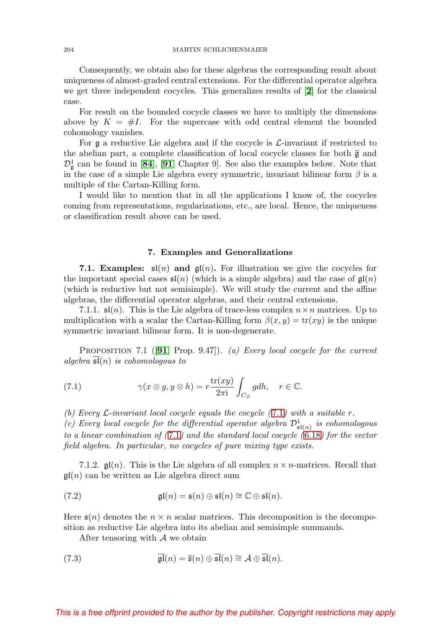Consequently, we obtain also for these algebras the corresponding result about uniqueness of almost-graded central extensions. For the differential operator algebra we get three independent cocycles. This generalizes results of [**[2](#page-33-0)**] for the classical case.

For result on the bounded cocycle classes we have to multiply the dimensions above by  $K = #I$ . For the supercase with odd central element the bounded cohomology vanishes.

For  $\mathfrak g$  a reductive Lie algebra and if the cocycle is  $\mathcal L$ -invariant if restricted to the abelian part, a complete classification of local cocycle classes for both  $\overline{g}$  and  $\mathcal{D}_{\mathfrak{g}}^1$  can be found in [[84](#page-37-8)], [[91](#page-38-1), Chapter 9]. See also the examples below. Note that in the case of a simple Lie algebra every symmetric, invariant bilinear form  $\beta$  is a multiple of the Cartan-Killing form.

I would like to mention that in all the applications I know of, the cocycles coming from representations, regularizations, etc., are local. Hence, the uniqueness or classification result above can be used.

#### **7. Examples and Generalizations**

**7.1. Examples:**  $\mathfrak{sl}(n)$  and  $\mathfrak{gl}(n)$ . For illustration we give the cocycles for the important special cases  $\mathfrak{sl}(n)$  (which is a simple algebra) and the case of  $\mathfrak{gl}(n)$ (which is reductive but not semisimple). We will study the current and the affine algebras, the differential operator algebras, and their central extensions.

7.1.1.  $\mathfrak{sl}(n)$ . This is the Lie algebra of trace-less complex  $n \times n$  matrices. Up to multiplication with a scalar the Cartan-Killing form  $\beta(x, y) = \text{tr}(xy)$  is the unique symmetric invariant bilinear form. It is non-degenerate.

PROPOSITION 7.1 (**[91](#page-38-1)**, Prop. 9.47). (a) Every local cocycle for the current algebra  $\overline{\mathfrak{sl}}(n)$  is cohomologous to

<span id="page-23-0"></span>(7.1) 
$$
\gamma(x \otimes g, y \otimes h) = r \frac{\text{tr}(xy)}{2\pi i} \int_{C_S} g dh, \quad r \in \mathbb{C}.
$$

(b) Every  $\mathcal{L}$ -invariant local cocycle equals the cocycle ([7.1](#page-23-0)) with a suitable r.

(c) Every local cocycle for the differential operator algebra  $\mathcal{D}^1_{\mathfrak{sl}(n)}$  is cohomologous to a linear combination of  $(7.1)$  $(7.1)$  $(7.1)$  and the standard local cocycle  $(6.18)$  $(6.18)$  $(6.18)$  for the vector field algebra. In particular, no cocycles of pure mixing type exists.

7.1.2.  $\mathfrak{gl}(n)$ . This is the Lie algebra of all complex  $n \times n$ -matrices. Recall that  $\mathfrak{gl}(n)$  can be written as Lie algebra direct sum

(7.2) 
$$
\mathfrak{gl}(n) = \mathfrak{s}(n) \oplus \mathfrak{s}\mathfrak{l}(n) \cong \mathbb{C} \oplus \mathfrak{s}\mathfrak{l}(n).
$$

Here  $\mathfrak{s}(n)$  denotes the  $n \times n$  scalar matrices. This decomposition is the decomposition as reductive Lie algebra into its abelian and semisimple summands.

After tensoring with  $A$  we obtain

(7.3) 
$$
\overline{\mathfrak{gl}}(n) = \overline{\mathfrak{s}}(n) \oplus \overline{\mathfrak{sl}}(n) \cong \mathcal{A} \oplus \overline{\mathfrak{sl}}(n).
$$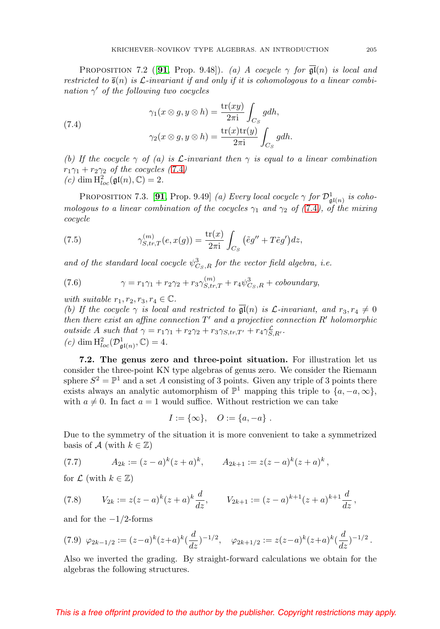PROPOSITION 7.2 ([**[91](#page-38-1)**, Prop. 9.48]). (a) A cocycle  $\gamma$  for  $\overline{\mathfrak{gl}}(n)$  is local and restricted to  $\bar{\mathfrak{s}}(n)$  is  $\mathcal{L}\text{-invariant if and only if it is cohomologous to a linear combi$ nation  $\gamma'$  of the following two cocycles

<span id="page-24-0"></span>(7.4)  
\n
$$
\gamma_1(x \otimes g, y \otimes h) = \frac{\text{tr}(xy)}{2\pi i} \int_{C_S} g dh,
$$
\n
$$
\gamma_2(x \otimes g, y \otimes h) = \frac{\text{tr}(x)\text{tr}(y)}{2\pi i} \int_{C_S} g dh.
$$

(b) If the cocycle  $\gamma$  of (a) is *L*-invariant then  $\gamma$  is equal to a linear combination  $r_1\gamma_1 + r_2\gamma_2$  of the cocycles ([7.4](#page-24-0)) (c) dim  $\mathrm{H}^2_{loc}(\mathfrak{gl}(n),\mathbb{C})=2.$ 

PROPOSITION 7.3.  $[91,$  $[91,$  $[91,$  Prop. 9.49] (a) Every local cocycle  $\gamma$  for  $\mathcal{D}^1_{\mathfrak{gl}(n)}$  is cohomologous to a linear combination of the cocycles  $\gamma_1$  and  $\gamma_2$  of ([7.4](#page-24-0)), of the mixing cocycle

(7.5) 
$$
\gamma_{S,tr,T}^{(m)}(e,x(g)) = \frac{\text{tr}(x)}{2\pi i} \int_{C_S} (\tilde{e}g'' + T\tilde{e}g') dz,
$$

and of the standard local cocycle  $\psi_{C_S,R}^3$  for the vector field algebra, i.e.

(7.6) 
$$
\gamma = r_1 \gamma_1 + r_2 \gamma_2 + r_3 \gamma_{S, tr, T}^{(m)} + r_4 \psi_{C_S, R}^3 + coboundary,
$$

with suitable  $r_1, r_2, r_3, r_4 \in \mathbb{C}$ .

(b) If the cocycle  $\gamma$  is local and restricted to  $\overline{\mathfrak{gl}}(n)$  is *L*-invariant, and  $r_3, r_4 \neq 0$ then there exist an affine connection  $T'$  and a projective connection  $R'$  holomorphic *outside A such that*  $\gamma = r_1 \gamma_1 + r_2 \gamma_2 + r_3 \gamma_{S,tr,T'} + r_4 \gamma_{S,R'}^{\mathcal{L}}$ . (c) dim  $\mathrm{H}^2_{loc}(\mathcal{D}^1_{\mathfrak{gl}(n)}, \mathbb{C})=4.$ 

<span id="page-24-1"></span>**7.2. The genus zero and three-point situation.** For illustration let us consider the three-point KN type algebras of genus zero. We consider the Riemann sphere  $S^2 = \mathbb{P}^1$  and a set A consisting of 3 points. Given any triple of 3 points there exists always an analytic automorphism of  $\mathbb{P}^1$  mapping this triple to  $\{a, -a, \infty\}$ , with  $a \neq 0$ . In fact  $a = 1$  would suffice. Without restriction we can take

$$
I := \{\infty\}, \quad O := \{a, -a\} \ .
$$

Due to the symmetry of the situation it is more convenient to take a symmetrized basis of  $\mathcal A$  (with  $k \in \mathbb Z$ )

(7.7) 
$$
A_{2k} := (z-a)^k (z+a)^k, \qquad A_{2k+1} := z(z-a)^k (z+a)^k,
$$

for  $\mathcal L$  (with  $k \in \mathbb Z$ )

(7.8) 
$$
V_{2k} := z(z-a)^k (z+a)^k \frac{d}{dz}, \qquad V_{2k+1} := (z-a)^{k+1} (z+a)^{k+1} \frac{d}{dz},
$$

and for the  $-1/2$ -forms

$$
(7.9) \ \varphi_{2k-1/2} := (z-a)^k (z+a)^k \left(\frac{d}{dz}\right)^{-1/2}, \quad \varphi_{2k+1/2} := z(z-a)^k (z+a)^k \left(\frac{d}{dz}\right)^{-1/2}.
$$

Also we inverted the grading. By straight-forward calculations we obtain for the algebras the following structures.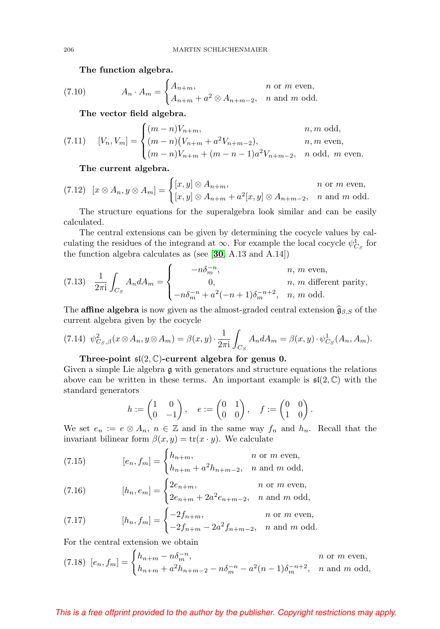**The function algebra.**

(7.10) 
$$
A_n \cdot A_m = \begin{cases} A_{n+m}, & n \text{ or } m \text{ even,} \\ A_{n+m} + a^2 \otimes A_{n+m-2}, & n \text{ and } m \text{ odd.} \end{cases}
$$

**The vector field algebra.**

(7.11) 
$$
[V_n, V_m] = \begin{cases} (m-n)V_{n+m}, & n, m \text{ odd}, \\ (m-n)(V_{n+m} + a^2 V_{n+m-2}), & n, m \text{ even}, \\ (m-n)V_{n+m} + (m-n-1)a^2 V_{n+m-2}, & n \text{ odd}, m \text{ even}. \end{cases}
$$

**The current algebra.**

(7.12) 
$$
[x \otimes A_n, y \otimes A_m] = \begin{cases} [x, y] \otimes A_{n+m}, & n \text{ or } m \text{ even,} \\ [x, y] \otimes A_{n+m} + a^2 [x, y] \otimes A_{n+m-2}, & n \text{ and } m \text{ odd.} \end{cases}
$$

The structure equations for the superalgebra look similar and can be easily calculated.

The central extensions can be given by determining the cocycle values by calculating the residues of the integrand at  $\infty$ . For example the local cocycle  $\psi^1_{C_S}$  for the function algebra calculates as (see [**[30](#page-35-2)**, A.13 and A.14])

(7.13) 
$$
\frac{1}{2\pi i} \int_{C_S} A_n dA_m = \begin{cases} -n\delta_m^{-n}, & n, m \text{ even,} \\ 0, & n, m \text{ different parity,} \\ -n\delta_m^{-n} + a^2(-n+1)\delta_m^{-n+2}, & n, m \text{ odd.} \end{cases}
$$

The **affine algebra** is now given as the almost-graded central extension  $\hat{\mathfrak{g}}_{\beta,S}$  of the current algebra given by the cocycle

$$
(7.14) \ \psi_{C_S,\beta}^2(x \otimes A_n, y \otimes A_m) = \beta(x,y) \cdot \frac{1}{2\pi i} \int_{C_S} A_n dA_m = \beta(x,y) \cdot \psi_{C_S}^1(A_n, A_m).
$$

### **Three-point** sl(2, C)**-current algebra for genus 0.**

Given a simple Lie algebra g with generators and structure equations the relations above can be written in these terms. An important example is  $\mathfrak{sl}(2,\mathbb{C})$  with the standard generators

$$
h := \begin{pmatrix} 1 & 0 \\ 0 & -1 \end{pmatrix}, \quad e := \begin{pmatrix} 0 & 1 \\ 0 & 0 \end{pmatrix}, \quad f := \begin{pmatrix} 0 & 0 \\ 1 & 0 \end{pmatrix}.
$$

We set  $e_n := e \otimes A_n$ ,  $n \in \mathbb{Z}$  and in the same way  $f_n$  and  $h_n$ . Recall that the invariant bilinear form  $\beta(x, y) = \text{tr}(x \cdot y)$ . We calculate

(7.15) 
$$
[e_n, f_m] = \begin{cases} h_{n+m}, & n \text{ or } m \text{ even,} \\ h_{n+m} + a^2 h_{n+m-2}, & n \text{ and } m \text{ odd,} \end{cases}
$$

(7.16) 
$$
[h_n, e_m] = \begin{cases} 2e_{n+m}, & n \text{ or } m \text{ even,} \\ 2e_{n+m} + 2a^2 e_{n+m-2}, & n \text{ and } m \text{ odd,} \end{cases}
$$

(7.17) 
$$
[h_n, f_m] = \begin{cases} -2f_{n+m}, & n \text{ or } m \text{ even}, \\ -2f_{n+m} - 2a^2 f_{n+m-2}, & n \text{ and } m \text{ odd}. \end{cases}
$$

For the central extension we obtain

(7.18) 
$$
[e_n, f_m] = \begin{cases} h_{n+m} - n\delta_m^{-n}, & n \text{ or } m \text{ even,} \\ h_{n+m} + a^2 h_{n+m-2} - n\delta_m^{-n} - a^2(n-1)\delta_m^{-n+2}, & n \text{ and } m \text{ odd,} \end{cases}
$$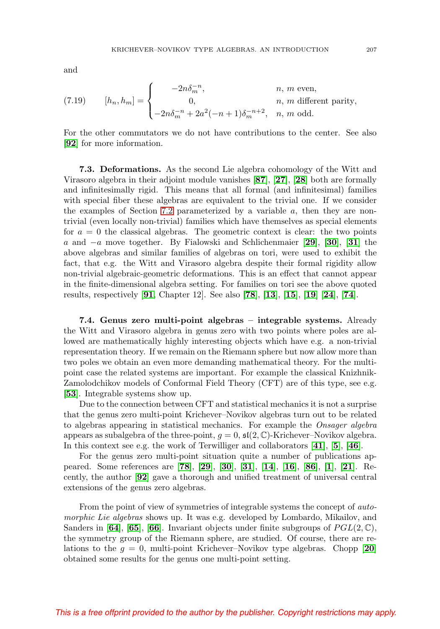and

(7.19) 
$$
[h_n, h_m] = \begin{cases} -2n\delta_m^{-n}, & n, m \text{ even}, \\ 0, & n, m \text{ different parity}, \\ -2n\delta_m^{-n} + 2a^2(-n+1)\delta_m^{-n+2}, & n, m \text{ odd}. \end{cases}
$$

For the other commutators we do not have contributions to the center. See also [**[92](#page-38-8)**] for more information.

**7.3. Deformations.** As the second Lie algebra cohomology of the Witt and Virasoro algebra in their adjoint module vanishes [**[87](#page-37-13)**], [**[27](#page-35-7)**], [**[28](#page-35-8)**] both are formally and infinitesimally rigid. This means that all formal (and infinitesimal) families with special fiber these algebras are equivalent to the trivial one. If we consider the examples of Section [7.2](#page-24-1) parameterized by a variable  $a$ , then they are nontrivial (even locally non-trivial) families which have themselves as special elements for  $a = 0$  the classical algebras. The geometric context is clear: the two points a and −a move together. By Fialowski and Schlichenmaier [**[29](#page-35-1)**], [**[30](#page-35-2)**], [**[31](#page-35-9)**] the above algebras and similar families of algebras on tori, were used to exhibit the fact, that e.g. the Witt and Virasoro algebra despite their formal rigidity allow non-trivial algebraic-geometric deformations. This is an effect that cannot appear in the finite-dimensional algebra setting. For families on tori see the above quoted results, respectively [**[91](#page-38-1)**, Chapter 12]. See also [**[78](#page-37-1)**], [**[13](#page-34-5)**], [**[15](#page-34-6)**], [**[19](#page-34-7)**] [**[24](#page-34-8)**], [**[74](#page-37-14)**].

**7.4. Genus zero multi-point algebras – integrable systems.** Already the Witt and Virasoro algebra in genus zero with two points where poles are allowed are mathematically highly interesting objects which have e.g. a non-trivial representation theory. If we remain on the Riemann sphere but now allow more than two poles we obtain an even more demanding mathematical theory. For the multipoint case the related systems are important. For example the classical Knizhnik-Zamolodchikov models of Conformal Field Theory (CFT) are of this type, see e.g. [**[53](#page-36-7)**]. Integrable systems show up.

Due to the connection between CFT and statistical mechanics it is not a surprise that the genus zero multi-point Krichever–Novikov algebras turn out to be related to algebras appearing in statistical mechanics. For example the Onsager algebra appears as subalgebra of the three-point,  $g = 0$ ,  $\mathfrak{sl}(2,\mathbb{C})$ -Krichever–Novikov algebra. In this context see e.g. the work of Terwilliger and collaborators [**[41](#page-35-10)**], [**[5](#page-34-9)**], [**[46](#page-36-8)**].

For the genus zero multi-point situation quite a number of publications appeared. Some references are [**[78](#page-37-1)**], [**[29](#page-35-1)**], [**[30](#page-35-2)**], [**[31](#page-35-9)**], [**[14](#page-34-10)**], [**[16](#page-34-11)**], [**[86](#page-37-15)**], [**[1](#page-33-1)**], [**[21](#page-34-12)**]. Recently, the author [**[92](#page-38-8)**] gave a thorough and unified treatment of universal central extensions of the genus zero algebras.

From the point of view of symmetries of integrable systems the concept of *auto*morphic Lie algebras shows up. It was e.g. developed by Lombardo, Mikailov, and Sanders in  $\mathbf{64}$  $\mathbf{64}$  $\mathbf{64}$ ,  $\mathbf{65}$  $\mathbf{65}$  $\mathbf{65}$ ,  $\mathbf{66}$  $\mathbf{66}$  $\mathbf{66}$ . Invariant objects under finite subgroups of  $PGL(2,\mathbb{C})$ , the symmetry group of the Riemann sphere, are studied. Of course, there are relations to the  $g = 0$ , multi-point Krichever–Novikov type algebras. Chopp [[20](#page-34-13)] obtained some results for the genus one multi-point setting.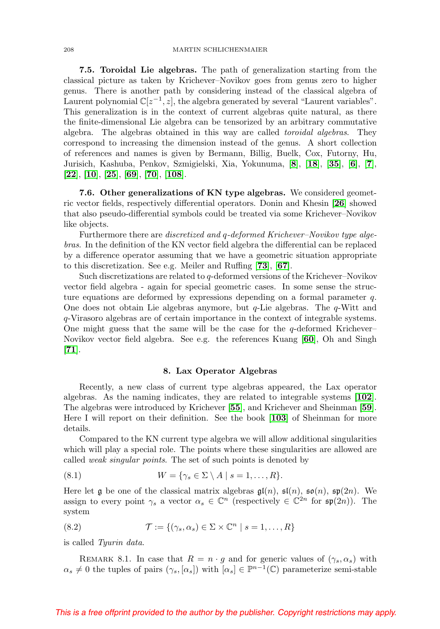**7.5. Toroidal Lie algebras.** The path of generalization starting from the classical picture as taken by Krichever–Novikov goes from genus zero to higher genus. There is another path by considering instead of the classical algebra of Laurent polynomial  $\mathbb{C}[z^{-1}, z]$ , the algebra generated by several "Laurent variables". This generalization is in the context of current algebras quite natural, as there the finite-dimensional Lie algebra can be tensorized by an arbitrary commutative algebra. The algebras obtained in this way are called toroidal algebras. They correspond to increasing the dimension instead of the genus. A short collection of references and names is given by Bermann, Billig, Buelk, Cox, Futorny, Hu, Jurisich, Kashuba, Penkov, Szmigielski, Xia, Yokunuma, [**[8](#page-34-14)**], [**[18](#page-34-15)**], [**[35](#page-35-11)**], [**[6](#page-34-16)**], [**[7](#page-34-17)**], [**[22](#page-34-18)**], [**[10](#page-34-19)**], [**[25](#page-35-12)**], [**[69](#page-37-16)**], [**[70](#page-37-17)**], [**[108](#page-39-0)**].

**7.6. Other generalizations of KN type algebras.** We considered geometric vector fields, respectively differential operators. Donin and Khesin [**[26](#page-35-13)**] showed that also pseudo-differential symbols could be treated via some Krichever–Novikov like objects.

Furthermore there are discretized and q-deformed Krichever–Novikov type algebras. In the definition of the KN vector field algebra the differential can be replaced by a difference operator assuming that we have a geometric situation appropriate to this discretization. See e.g. Meiler and Ruffing [**[73](#page-37-18)**], [**[67](#page-37-19)**].

Such discretizations are related to q-deformed versions of the Krichever–Novikov vector field algebra - again for special geometric cases. In some sense the structure equations are deformed by expressions depending on a formal parameter q. One does not obtain Lie algebras anymore, but  $q$ -Lie algebras. The  $q$ -Witt and q-Virasoro algebras are of certain importance in the context of integrable systems. One might guess that the same will be the case for the  $q$ -deformed Krichever– Novikov vector field algebra. See e.g. the references Kuang [**[60](#page-36-12)**], Oh and Singh [**[71](#page-37-20)**].

### **8. Lax Operator Algebras**

Recently, a new class of current type algebras appeared, the Lax operator algebras. As the naming indicates, they are related to integrable systems [**[102](#page-38-9)**]. The algebras were introduced by Krichever [**[55](#page-36-13)**], and Krichever and Sheinman [**[59](#page-36-14)**]. Here I will report on their definition. See the book [**[103](#page-38-2)**] of Sheinman for more details.

Compared to the KN current type algebra we will allow additional singularities which will play a special role. The points where these singularities are allowed are called weak singular points. The set of such points is denoted by

$$
(8.1) \t W = \{ \gamma_s \in \Sigma \setminus A \mid s = 1, \ldots, R \}.
$$

Here let g be one of the classical matrix algebras  $\mathfrak{gl}(n)$ ,  $\mathfrak{sl}(n)$ ,  $\mathfrak{so}(n)$ ,  $\mathfrak{sp}(2n)$ . We assign to every point  $\gamma_s$  a vector  $\alpha_s \in \mathbb{C}^n$  (respectively  $\in \mathbb{C}^{2n}$  for  $\mathfrak{sp}(2n)$ ). The system

(8.2) 
$$
\mathcal{T} := \{ (\gamma_s, \alpha_s) \in \Sigma \times \mathbb{C}^n \mid s = 1, ..., R \}
$$

is called Tyurin data.

REMARK 8.1. In case that  $R = n \cdot g$  and for generic values of  $(\gamma_s, \alpha_s)$  with  $\alpha_s \neq 0$  the tuples of pairs  $(\gamma_s, [\alpha_s])$  with  $[\alpha_s] \in \mathbb{P}^{n-1}(\mathbb{C})$  parameterize semi-stable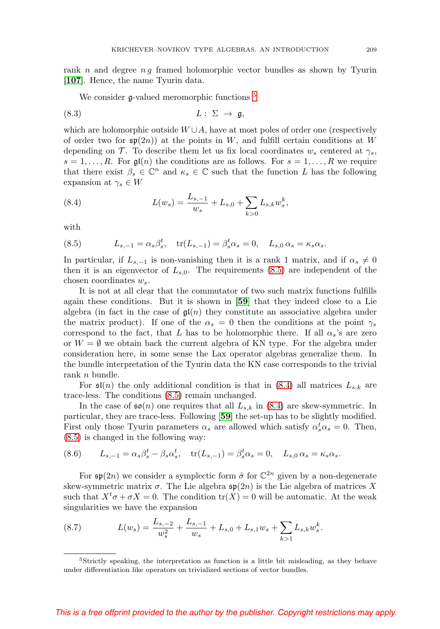rank n and degree  $ng$  framed holomorphic vector bundles as shown by Tyurin [**[107](#page-39-1)**]. Hence, the name Tyurin data.

We consider g-valued meromorphic functions  $5$ 

$$
(8.3) \t\t\t L: \Sigma \to \mathfrak{g},
$$

which are holomorphic outside  $W \cup A$ , have at most poles of order one (respectively of order two for  $\mathfrak{sp}(2n)$  at the points in W, and fulfill certain conditions at W depending on T. To describe them let us fix local coordinates  $w_s$  centered at  $\gamma_s$ ,  $s = 1, \ldots, R$ . For  $\mathfrak{gl}(n)$  the conditions are as follows. For  $s = 1, \ldots, R$  we require that there exist  $\beta_s \in \mathbb{C}^n$  and  $\kappa_s \in \mathbb{C}$  such that the function L has the following expansion at  $\gamma_s \in W$ 

<span id="page-28-2"></span>(8.4) 
$$
L(w_s) = \frac{L_{s,-1}}{w_s} + L_{s,0} + \sum_{k>0} L_{s,k} w_s^k,
$$

with

<span id="page-28-1"></span>(8.5) 
$$
L_{s,-1} = \alpha_s \beta_s^t, \quad \text{tr}(L_{s,-1}) = \beta_s^t \alpha_s = 0, \quad L_{s,0} \alpha_s = \kappa_s \alpha_s.
$$

In particular, if  $L_{s,-1}$  is non-vanishing then it is a rank 1 matrix, and if  $\alpha_s \neq 0$ then it is an eigenvector of  $L_{s,0}$ . The requirements [\(8.5\)](#page-28-1) are independent of the chosen coordinates  $w_s$ .

It is not at all clear that the commutator of two such matrix functions fulfills again these conditions. But it is shown in [**[59](#page-36-14)**] that they indeed close to a Lie algebra (in fact in the case of  $\mathfrak{gl}(n)$  they constitute an associative algebra under the matrix product). If one of the  $\alpha_s = 0$  then the conditions at the point  $\gamma_s$ correspond to the fact, that L has to be holomorphic there. If all  $\alpha_s$ 's are zero or  $W = \emptyset$  we obtain back the current algebra of KN type. For the algebra under consideration here, in some sense the Lax operator algebras generalize them. In the bundle interpretation of the Tyurin data the KN case corresponds to the trivial rank n bundle.

For  $\mathfrak{sl}(n)$  the only additional condition is that in [\(8.4\)](#page-28-2) all matrices  $L_{s,k}$  are trace-less. The conditions [\(8.5\)](#page-28-1) remain unchanged.

In the case of  $\mathfrak{so}(n)$  one requires that all  $L_{s,k}$  in [\(8.4\)](#page-28-2) are skew-symmetric. In particular, they are trace-less. Following [**[59](#page-36-14)**] the set-up has to be slightly modified. First only those Tyurin parameters  $\alpha_s$  are allowed which satisfy  $\alpha_s^t \alpha_s = 0$ . Then, [\(8.5\)](#page-28-1) is changed in the following way:

(8.6) 
$$
L_{s,-1} = \alpha_s \beta_s^t - \beta_s \alpha_s^t, \quad \text{tr}(L_{s,-1}) = \beta_s^t \alpha_s = 0, \quad L_{s,0} \alpha_s = \kappa_s \alpha_s.
$$

For  $\mathfrak{sp}(2n)$  we consider a symplectic form  $\hat{\sigma}$  for  $\mathbb{C}^{2n}$  given by a non-degenerate skew-symmetric matrix  $\sigma$ . The Lie algebra  $\mathfrak{sp}(2n)$  is the Lie algebra of matrices X such that  $X^t \sigma + \sigma X = 0$ . The condition  $\text{tr}(X) = 0$  will be automatic. At the weak singularities we have the expansion

(8.7) 
$$
L(w_s) = \frac{L_{s,-2}}{w_s^2} + \frac{L_{s,-1}}{w_s} + L_{s,0} + L_{s,1}w_s + \sum_{k>1} L_{s,k}w_s^k.
$$

<span id="page-28-0"></span><sup>5</sup>Strictly speaking, the interpretation as function is a little bit misleading, as they behave under differentiation like operators on trivialized sections of vector bundles.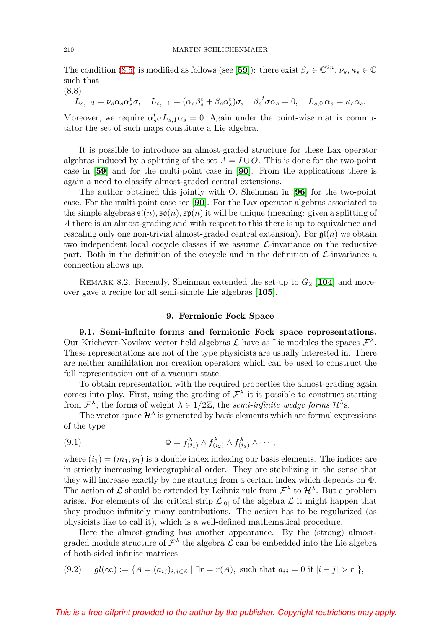The condition [\(8.5\)](#page-28-1) is modified as follows (see [[59](#page-36-14)]): there exist  $\beta_s \in \mathbb{C}^{2n}$ ,  $\nu_s$ ,  $\kappa_s \in \mathbb{C}$ such that

(8.8)

 $L_{s,-2} = \nu_s \alpha_s \alpha_s^t \sigma$ ,  $L_{s,-1} = (\alpha_s \beta_s^t + \beta_s \alpha_s^t) \sigma$ ,  $\beta_s^t \sigma \alpha_s = 0$ ,  $L_{s,0} \alpha_s = \kappa_s \alpha_s$ .

Moreover, we require  $\alpha_s^t \sigma L_{s,1} \alpha_s = 0$ . Again under the point-wise matrix commutator the set of such maps constitute a Lie algebra.

It is possible to introduce an almost-graded structure for these Lax operator algebras induced by a splitting of the set  $A = I \cup O$ . This is done for the two-point case in [**[59](#page-36-14)**] and for the multi-point case in [**[90](#page-38-10)**]. From the applications there is again a need to classify almost-graded central extensions.

The author obtained this jointly with O. Sheinman in [**[96](#page-38-11)**] for the two-point case. For the multi-point case see [**[90](#page-38-10)**]. For the Lax operator algebras associated to the simple algebras  $\mathfrak{sl}(n)$ ,  $\mathfrak{so}(n)$ ,  $\mathfrak{sp}(n)$  it will be unique (meaning: given a splitting of A there is an almost-grading and with respect to this there is up to equivalence and rescaling only one non-trivial almost-graded central extension). For  $\mathfrak{gl}(n)$  we obtain two independent local cocycle classes if we assume  $\mathcal{L}$ -invariance on the reductive part. Both in the definition of the cocycle and in the definition of  $\mathcal{L}$ -invariance a connection shows up.

REMARK 8.2. Recently, Sheinman extended the set-up to  $G_2$  [[104](#page-38-12)] and moreover gave a recipe for all semi-simple Lie algebras [**[105](#page-38-13)**].

#### **9. Fermionic Fock Space**

**9.1. Semi-infinite forms and fermionic Fock space representations.** Our Krichever-Novikov vector field algebras  $\mathcal L$  have as Lie modules the spaces  $\mathcal F^{\lambda}$ . These representations are not of the type physicists are usually interested in. There are neither annihilation nor creation operators which can be used to construct the full representation out of a vacuum state.

To obtain representation with the required properties the almost-grading again comes into play. First, using the grading of  $\mathcal{F}^{\lambda}$  it is possible to construct starting from  $\mathcal{F}^{\lambda}$ , the forms of weight  $\lambda \in 1/2\mathbb{Z}$ , the semi-infinite wedge forms  $\mathcal{H}^{\lambda}$ s.

The vector space  $\mathcal{H}^{\lambda}$  is generated by basis elements which are formal expressions of the type

<span id="page-29-0"></span>(9.1) 
$$
\Phi = f_{(i_1)}^{\lambda} \wedge f_{(i_2)}^{\lambda} \wedge f_{(i_3)}^{\lambda} \wedge \cdots,
$$

where  $(i_1)=(m_1, p_1)$  is a double index indexing our basis elements. The indices are in strictly increasing lexicographical order. They are stabilizing in the sense that they will increase exactly by one starting from a certain index which depends on Φ. The action of  $\mathcal L$  should be extended by Leibniz rule from  $\mathcal F^\lambda$  to  $\mathcal H^\lambda$ . But a problem arises. For elements of the critical strip  $\mathcal{L}_{[0]}$  of the algebra  $\mathcal L$  it might happen that they produce infinitely many contributions. The action has to be regularized (as physicists like to call it), which is a well-defined mathematical procedure.

Here the almost-grading has another appearance. By the (strong) almostgraded module structure of  $\mathcal{F}^{\lambda}$  the algebra  $\mathcal L$  can be embedded into the Lie algebra of both-sided infinite matrices

$$
(9.2) \quad \overline{gl}(\infty) := \{ A = (a_{ij})_{i,j \in \mathbb{Z}} \mid \exists r = r(A), \text{ such that } a_{ij} = 0 \text{ if } |i - j| > r \},
$$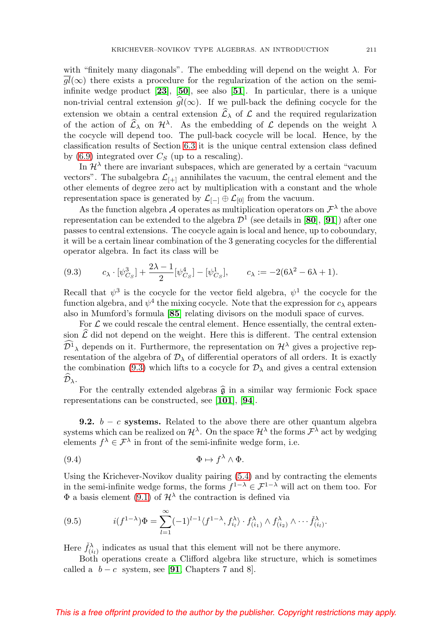with "finitely many diagonals". The embedding will depend on the weight  $\lambda$ . For  $\overline{gl}(\infty)$  there exists a procedure for the regularization of the action on the semiinfinite wedge product [**[23](#page-34-20)**], [**[50](#page-36-15)**], see also [**[51](#page-36-16)**]. In particular, there is a unique non-trivial central extension  $gl(\infty)$ . If we pull-back the defining cocycle for the extension we obtain a central extension  $\hat{\mathcal{L}}_{\lambda}$  of  $\mathcal{L}$  and the required regularization of the action of  $\mathcal{L}_{\lambda}$  on  $\mathcal{H}^{\lambda}$ . As the embedding of  $\mathcal{L}$  depends on the weight  $\lambda$ the cocycle will depend too. The pull-back cocycle will be local. Hence, by the classification results of Section [6.3](#page-21-0) it is the unique central extension class defined by  $(6.9)$  integrated over  $C<sub>S</sub>$  (up to a rescaling).

In  $\mathcal{H}^{\lambda}$  there are invariant subspaces, which are generated by a certain "vacuum" vectors". The subalgebra  $\mathcal{L}_{[+]}$  annihilates the vacuum, the central element and the other elements of degree zero act by multiplication with a constant and the whole representation space is generated by  $\mathcal{L}_{[-]} \oplus \mathcal{L}_{[0]}$  from the vacuum.

As the function algebra A operates as multiplication operators on  $\mathcal{F}^{\lambda}$  the above representation can be extended to the algebra  $\mathcal{D}^1$  (see details in [[80](#page-37-3)], [[91](#page-38-1)]) after one passes to central extensions. The cocycle again is local and hence, up to coboundary, it will be a certain linear combination of the 3 generating cocycles for the differential operator algebra. In fact its class will be

<span id="page-30-0"></span>(9.3) 
$$
c_{\lambda} \cdot [\psi_{C_S}^3] + \frac{2\lambda - 1}{2} [\psi_{C_S}^4] - [\psi_{C_S}^1], \qquad c_{\lambda} := -2(6\lambda^2 - 6\lambda + 1).
$$

Recall that  $\psi^3$  is the cocycle for the vector field algebra,  $\psi^1$  the cocycle for the function algebra, and  $\psi^4$  the mixing cocycle. Note that the expression for  $c_{\lambda}$  appears also in Mumford's formula [**[85](#page-37-10)**] relating divisors on the moduli space of curves.

For  $\mathcal L$  we could rescale the central element. Hence essentially, the central extension  $\hat{\mathcal{L}}$  did not depend on the weight. Here this is different. The central extension  $\mathcal{D}^1$ <sub>λ</sub> depends on it. Furthermore, the representation on  $\mathcal{H}^{\lambda}$  gives a projective representation of the algebra of  $\mathcal{D}_{\lambda}$  of differential operators of all orders. It is exactly the combination [\(9.3\)](#page-30-0) which lifts to a cocycle for  $\mathcal{D}_{\lambda}$  and gives a central extension  $\mathcal{D}_{\lambda}$ .

For the centrally extended algebras  $\hat{\mathfrak{g}}$  in a similar way fermionic Fock space representations can be constructed, see [**[101](#page-38-14)**], [**[94](#page-38-15)**].

**9.2.**  $b - c$  **systems.** Related to the above there are other quantum algebra systems which can be realized on  $\mathcal{H}^{\lambda}$ . On the space  $\mathcal{H}^{\lambda}$  the forms  $\mathcal{F}^{\lambda}$  act by wedging elements  $f^{\lambda} \in \mathcal{F}^{\lambda}$  in front of the semi-infinite wedge form, i.e.

$$
\Phi \mapsto f^{\lambda} \wedge \Phi.
$$

Using the Krichever-Novikov duality pairing [\(5.4\)](#page-14-0) and by contracting the elements in the semi-infinite wedge forms, the forms  $f^{1-\lambda} \in \mathcal{F}^{1-\lambda}$  will act on them too. For  $\Phi$  a basis element [\(9.1\)](#page-29-0) of  $\mathcal{H}^{\lambda}$  the contraction is defined via

$$
(9.5) \t\t i(f^{1-\lambda})\Phi = \sum_{l=1}^{\infty} (-1)^{l-1} \langle f^{1-\lambda}, f_{i_l}^{\lambda} \rangle \cdot f_{(i_1)}^{\lambda} \wedge f_{(i_2)}^{\lambda} \wedge \cdots \check{f}_{(i_l)}^{\lambda}.
$$

Here  $\check{f}^{\lambda}_{(i_l)}$  indicates as usual that this element will not be there anymore.

Both operations create a Clifford algebra like structure, which is sometimes called a  $b - c$  system, see [**[91](#page-38-1)**, Chapters 7 and 8].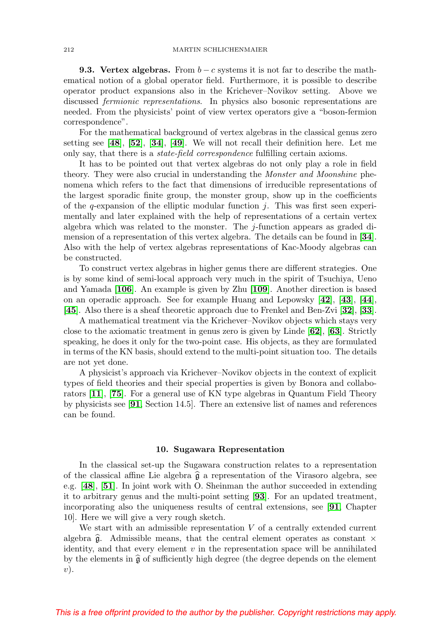**9.3. Vertex algebras.** From  $b - c$  systems it is not far to describe the mathematical notion of a global operator field. Furthermore, it is possible to describe operator product expansions also in the Krichever–Novikov setting. Above we discussed fermionic representations. In physics also bosonic representations are needed. From the physicists' point of view vertex operators give a "boson-fermion correspondence".

For the mathematical background of vertex algebras in the classical genus zero setting see [**[48](#page-36-4)**], [**[52](#page-36-17)**], [**[34](#page-35-14)**], [**[49](#page-36-18)**]. We will not recall their definition here. Let me only say, that there is a state-field correspondence fulfilling certain axioms.

It has to be pointed out that vertex algebras do not only play a role in field theory. They were also crucial in understanding the Monster and Moonshine phenomena which refers to the fact that dimensions of irreducible representations of the largest sporadic finite group, the monster group, show up in the coefficients of the q-expansion of the elliptic modular function  $j$ . This was first seen experimentally and later explained with the help of representations of a certain vertex algebra which was related to the monster. The  $j$ -function appears as graded dimension of a representation of this vertex algebra. The details can be found in [**[34](#page-35-14)**]. Also with the help of vertex algebras representations of Kac-Moody algebras can be constructed.

To construct vertex algebras in higher genus there are different strategies. One is by some kind of semi-local approach very much in the spirit of Tsuchiya, Ueno and Yamada [**[106](#page-38-0)**]. An example is given by Zhu [**[109](#page-39-2)**]. Another direction is based on an operadic approach. See for example Huang and Lepowsky [**[42](#page-35-15)**], [**[43](#page-35-16)**], [**[44](#page-35-17)**], [**[45](#page-35-18)**]. Also there is a sheaf theoretic approach due to Frenkel and Ben-Zvi [**[32](#page-35-19)**], [**[33](#page-35-20)**].

A mathematical treatment via the Krichever–Novikov objects which stays very close to the axiomatic treatment in genus zero is given by Linde [**[62](#page-36-19)**], [**[63](#page-36-20)**]. Strictly speaking, he does it only for the two-point case. His objects, as they are formulated in terms of the KN basis, should extend to the multi-point situation too. The details are not yet done.

A physicist's approach via Krichever–Novikov objects in the context of explicit types of field theories and their special properties is given by Bonora and collaborators [**[11](#page-34-21)**], [**[75](#page-37-21)**]. For a general use of KN type algebras in Quantum Field Theory by physicists see [**[91](#page-38-1)**, Section 14.5]. There an extensive list of names and references can be found.

#### **10. Sugawara Representation**

In the classical set-up the Sugawara construction relates to a representation of the classical affine Lie algebra  $\hat{\mathfrak{g}}$  a representation of the Virasoro algebra, see e.g. [**[48](#page-36-4)**], [**[51](#page-36-16)**]. In joint work with O. Sheinman the author succeeded in extending it to arbitrary genus and the multi-point setting [**[93](#page-38-16)**]. For an updated treatment, incorporating also the uniqueness results of central extensions, see [**[91](#page-38-1)**, Chapter 10]. Here we will give a very rough sketch.

We start with an admissible representation  $V$  of a centrally extended current algebra  $\hat{\mathfrak{g}}$ . Admissible means, that the central element operates as constant  $\times$ identity, and that every element  $v$  in the representation space will be annihilated by the elements in  $\hat{\mathfrak{g}}$  of sufficiently high degree (the degree depends on the element v).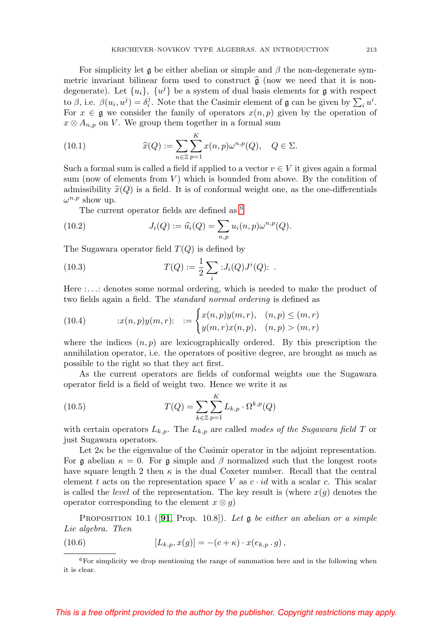For simplicity let  $\mathfrak g$  be either abelian or simple and  $\beta$  the non-degenerate symmetric invariant bilinear form used to construct  $\hat{g}$  (now we need that it is nondegenerate). Let  $\{u_i\}$ ,  $\{u^j\}$  be a system of dual basis elements for g with respect to  $\beta$ , i.e.  $\beta(u_i, u^j) = \delta_i^j$ . Note that the Casimir element of  $\mathfrak g$  can be given by  $\sum_i u^i$ . For  $x \in \mathfrak{g}$  we consider the family of operators  $x(n, p)$  given by the operation of  $x \otimes A_{n,p}$  on V. We group them together in a formal sum

(10.1) 
$$
\widehat{x}(Q) := \sum_{n \in \mathbb{Z}} \sum_{p=1}^{K} x(n, p) \omega^{n, p}(Q), \quad Q \in \Sigma.
$$

Such a formal sum is called a field if applied to a vector  $v \in V$  it gives again a formal sum (now of elements from  $V$ ) which is bounded from above. By the condition of admissibility  $\hat{x}(Q)$  is a field. It is of conformal weight one, as the one-differentials  $\omega^{n,p}$  show up.

The current operator fields are defined as  $6$ 

(10.2) 
$$
J_i(Q) := \widehat{u_i}(Q) = \sum_{n,p} u_i(n,p) \omega^{n,p}(Q).
$$

The Sugawara operator field  $T(Q)$  is defined by

(10.3) 
$$
T(Q) := \frac{1}{2} \sum_{i} :J_i(Q)J^i(Q): .
$$

Here :...: denotes some normal ordering, which is needed to make the product of two fields again a field. The standard normal ordering is defined as

(10.4) 
$$
\qquad \qquad :x(n,p)y(m,r): \quad := \begin{cases} x(n,p)y(m,r), & (n,p) \leq (m,r) \\ y(m,r)x(n,p), & (n,p) > (m,r) \end{cases}
$$

where the indices  $(n, p)$  are lexicographically ordered. By this prescription the annihilation operator, i.e. the operators of positive degree, are brought as much as possible to the right so that they act first.

As the current operators are fields of conformal weights one the Sugawara operator field is a field of weight two. Hence we write it as

(10.5) 
$$
T(Q) = \sum_{k \in \mathbb{Z}} \sum_{p=1}^{K} L_{k,p} \cdot \Omega^{k,p}(Q)
$$

with certain operators  $L_{k,p}$ . The  $L_{k,p}$  are called modes of the Sugawara field T or just Sugawara operators.

Let  $2\kappa$  be the eigenvalue of the Casimir operator in the adjoint representation. For g abelian  $\kappa = 0$ . For g simple and  $\beta$  normalized such that the longest roots have square length 2 then  $\kappa$  is the dual Coxeter number. Recall that the central element t acts on the representation space V as  $c \cdot id$  with a scalar c. This scalar is called the *level* of the representation. The key result is (where  $x(q)$  denotes the operator corresponding to the element  $x \otimes q$ 

PROPOSITION 10.1 (**[91](#page-38-1)**, Prop. 10.8). Let **g** be either an abelian or a simple Lie algebra. Then

(10.6) 
$$
[L_{k,p}, x(g)] = -(c + \kappa) \cdot x(e_{k,p}, g),
$$

<span id="page-32-0"></span> $6$ For simplicity we drop mentioning the range of summation here and in the following when it is clear.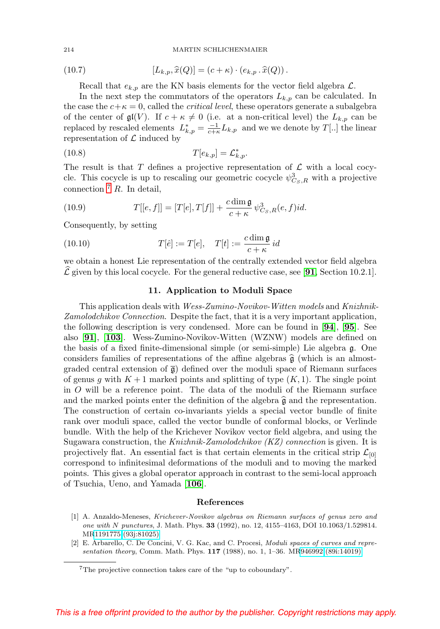#### 214 MARTIN SCHLICHENMAIER

(10.7) 
$$
[L_{k,p}, \widehat{x}(Q)] = (c + \kappa) \cdot (e_{k,p} \cdot \widehat{x}(Q)).
$$

Recall that  $e_{k,p}$  are the KN basis elements for the vector field algebra  $\mathcal{L}$ .

In the next step the commutators of the operators  $L_{k,p}$  can be calculated. In the case the  $c+\kappa = 0$ , called the *critical level*, these operators generate a subalgebra of the center of  $\mathfrak{gl}(V)$ . If  $c + \kappa \neq 0$  (i.e. at a non-critical level) the  $L_{k,p}$  can be replaced by rescaled elements  $L_{k,p}^* = \frac{-1}{c+k} L_{k,p}$  and we we denote by  $T[...]$  the linear representation of  $\mathcal L$  induced by

$$
(10.8) \t\t T[e_{k,p}] = \mathcal{L}_{k,p}^*.
$$

The result is that T defines a projective representation of  $\mathcal L$  with a local cocycle. This cocycle is up to rescaling our geometric cocycle  $\psi_{C_S,R}^3$  with a projective connection  $\bar{f}$  R. In detail,

(10.9) 
$$
T[[e, f]] = [T[e], T[f]] + \frac{c \dim \mathfrak{g}}{c + \kappa} \psi_{C_S, R}^3(e, f) id.
$$

Consequently, by setting

(10.10) 
$$
T[\hat{e}] := T[e], \quad T[t] := \frac{c \dim \mathfrak{g}}{c + \kappa} id
$$

we obtain a honest Lie representation of the centrally extended vector field algebra  $\mathcal{L}$  given by this local cocycle. For the general reductive case, see [[91](#page-38-1), Section 10.2.1].

## **11. Application to Moduli Space**

This application deals with Wess-Zumino-Novikov-Witten models and Knizhnik-Zamolodchikov Connection. Despite the fact, that it is a very important application, the following description is very condensed. More can be found in [**[94](#page-38-15)**], [**[95](#page-38-17)**]. See also [**[91](#page-38-1)**], [**[103](#page-38-2)**]. Wess-Zumino-Novikov-Witten (WZNW) models are defined on the basis of a fixed finite-dimensional simple (or semi-simple) Lie algebra g. One considers families of representations of the affine algebras  $\hat{g}$  (which is an almostgraded central extension of  $\overline{g}$ ) defined over the moduli space of Riemann surfaces of genus g with  $K+1$  marked points and splitting of type  $(K, 1)$ . The single point in O will be a reference point. The data of the moduli of the Riemann surface and the marked points enter the definition of the algebra  $\hat{\mathfrak{g}}$  and the representation. The construction of certain co-invariants yields a special vector bundle of finite rank over moduli space, called the vector bundle of conformal blocks, or Verlinde bundle. With the help of the Krichever Novikov vector field algebra, and using the Sugawara construction, the Knizhnik-Zamolodchikov  $(KZ)$  connection is given. It is projectively flat. An essential fact is that certain elements in the critical strip  $\mathcal{L}_{[0]}$ correspond to infinitesimal deformations of the moduli and to moving the marked points. This gives a global operator approach in contrast to the semi-local approach of Tsuchia, Ueno, and Yamada [**[106](#page-38-0)**].

### **References**

- <span id="page-33-1"></span>[1] A. Anzaldo-Meneses, Krichever-Novikov algebras on Riemann surfaces of genus zero and one with N punctures, J. Math. Phys. **33** (1992), no. 12, 4155–4163, DOI 10.1063/1.529814. M[R1191775 \(93j:81025\)](http://www.ams.org/mathscinet-getitem?mr=1191775)
- <span id="page-33-0"></span>[2] E. Arbarello, C. De Concini, V. G. Kac, and C. Procesi, Moduli spaces of curves and representation theory, Comm. Math. Phys. **117** (1988), no. 1, 1–36. M[R946992 \(89i:14019\)](http://www.ams.org/mathscinet-getitem?mr=946992)

<span id="page-33-2"></span><sup>7</sup>The projective connection takes care of the "up to coboundary".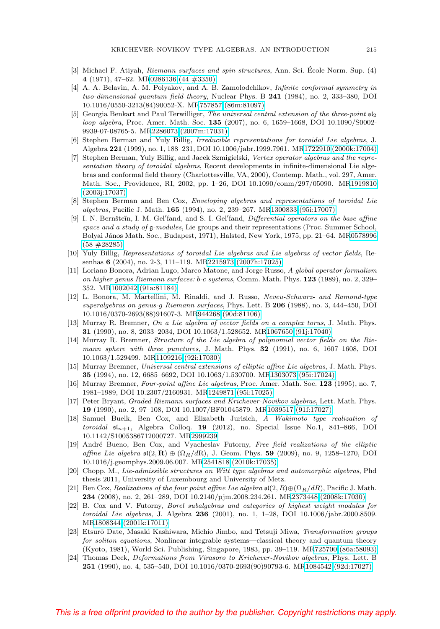- <span id="page-34-1"></span>[3] Michael F. Atiyah, *Riemann surfaces and spin structures*, Ann. Sci. École Norm. Sup. (4) **4** (1971), 47–62. M[R0286136 \(44 #3350\)](http://www.ams.org/mathscinet-getitem?mr=0286136)
- <span id="page-34-0"></span>[4] A. A. Belavin, A. M. Polyakov, and A. B. Zamolodchikov, Infinite conformal symmetry in two-dimensional quantum field theory, Nuclear Phys. B **241** (1984), no. 2, 333–380, DOI 10.1016/0550-3213(84)90052-X. M[R757857 \(86m:81097\)](http://www.ams.org/mathscinet-getitem?mr=757857)
- <span id="page-34-9"></span>[5] Georgia Benkart and Paul Terwilliger, The universal central extension of the three-point sl<sup>2</sup> loop algebra, Proc. Amer. Math. Soc. **135** (2007), no. 6, 1659–1668, DOI 10.1090/S0002- 9939-07-08765-5. M[R2286073 \(2007m:17031\)](http://www.ams.org/mathscinet-getitem?mr=2286073)
- <span id="page-34-16"></span>[6] Stephen Berman and Yuly Billig, Irreducible representations for toroidal Lie algebras, J. Algebra **221** (1999), no. 1, 188–231, DOI 10.1006/jabr.1999.7961. M[R1722910 \(2000k:17004\)](http://www.ams.org/mathscinet-getitem?mr=1722910)
- <span id="page-34-17"></span>[7] Stephen Berman, Yuly Billig, and Jacek Szmigielski, Vertex operator algebras and the representation theory of toroidal algebras, Recent developments in infinite-dimensional Lie algebras and conformal field theory (Charlottesville, VA, 2000), Contemp. Math., vol. 297, Amer. Math. Soc., Providence, RI, 2002, pp. 1–26, DOI 10.1090/conm/297/05090. M[R1919810](http://www.ams.org/mathscinet-getitem?mr=1919810) [\(2003j:17037\)](http://www.ams.org/mathscinet-getitem?mr=1919810)
- <span id="page-34-14"></span>[8] Stephen Berman and Ben Cox, Enveloping algebras and representations of toroidal Lie algebras, Pacific J. Math. **165** (1994), no. 2, 239–267. M[R1300833 \(95i:17007\)](http://www.ams.org/mathscinet-getitem?mr=1300833)
- <span id="page-34-2"></span>[9] I. N. Bernšteĭn, I. M. Gel'fand, and S. I. Gel'fand, *Differential operators on the base affine* space and a study of  $g$ -modules, Lie groups and their representations (Proc. Summer School, Bolyai János Math. Soc., Budapest, 1971), Halsted, New York, 1975, pp. 21–64. M[R0578996](http://www.ams.org/mathscinet-getitem?mr=0578996) [\(58 #28285\)](http://www.ams.org/mathscinet-getitem?mr=0578996)
- <span id="page-34-19"></span>[10] Yuly Billig, Representations of toroidal Lie algebras and Lie algebras of vector fields, Resenhas **6** (2004), no. 2-3, 111–119. M[R2215973 \(2007h:17025\)](http://www.ams.org/mathscinet-getitem?mr=2215973)
- <span id="page-34-21"></span>[11] Loriano Bonora, Adrian Lugo, Marco Matone, and Jorge Russo, A global operator formalism on higher genus Riemann surfaces: b-c systems, Comm. Math. Phys. **123** (1989), no. 2, 329– 352. M[R1002042 \(91a:81184\)](http://www.ams.org/mathscinet-getitem?mr=1002042)
- <span id="page-34-4"></span>[12] L. Bonora, M. Martellini, M. Rinaldi, and J. Russo, Neveu-Schwarz- and Ramond-type superalgebras on genus-g Riemann surfaces, Phys. Lett. B **206** (1988), no. 3, 444–450, DOI 10.1016/0370-2693(88)91607-3. M[R944268 \(90d:81106\)](http://www.ams.org/mathscinet-getitem?mr=944268)
- <span id="page-34-5"></span>[13] Murray R. Bremner, On a Lie algebra of vector fields on a complex torus, J. Math. Phys. **31** (1990), no. 8, 2033–2034, DOI 10.1063/1.528652. M[R1067650 \(91j:17040\)](http://www.ams.org/mathscinet-getitem?mr=1067650)
- <span id="page-34-10"></span>[14] Murray R. Bremner, Structure of the Lie algebra of polynomial vector fields on the Riemann sphere with three punctures, J. Math. Phys. **32** (1991), no. 6, 1607–1608, DOI 10.1063/1.529499. M[R1109216 \(92i:17030\)](http://www.ams.org/mathscinet-getitem?mr=1109216)
- <span id="page-34-6"></span>[15] Murray Bremner, Universal central extensions of elliptic affine Lie algebras, J. Math. Phys. **35** (1994), no. 12, 6685–6692, DOI 10.1063/1.530700. M[R1303073 \(95i:17024\)](http://www.ams.org/mathscinet-getitem?mr=1303073)
- <span id="page-34-11"></span>[16] Murray Bremner, Four-point affine Lie algebras, Proc. Amer. Math. Soc. **123** (1995), no. 7, 1981–1989, DOI 10.2307/2160931. M[R1249871 \(95i:17025\)](http://www.ams.org/mathscinet-getitem?mr=1249871)
- <span id="page-34-3"></span>[17] Peter Bryant, Graded Riemann surfaces and Krichever-Novikov algebras, Lett. Math. Phys. **19** (1990), no. 2, 97–108, DOI 10.1007/BF01045879. M[R1039517 \(91f:17027\)](http://www.ams.org/mathscinet-getitem?mr=1039517)
- <span id="page-34-15"></span>[18] Samuel Buelk, Ben Cox, and Elizabeth Jurisich, A Wakimoto type realization of toroidal  $\mathfrak{sl}_{n+1}$ , Algebra Colloq. **19** (2012), no. Special Issue No.1, 841–866, DOI 10.1142/S1005386712000727. M[R2999239](http://www.ams.org/mathscinet-getitem?mr=2999239)
- <span id="page-34-7"></span>[19] André Bueno, Ben Cox, and Vyacheslav Futorny, Free field realizations of the elliptic affine Lie algebra  $\mathfrak{sl}(2,\mathbf{R}) \oplus (\Omega_R/d\mathbf{R})$ , J. Geom. Phys. **59** (2009), no. 9, 1258–1270, DOI 10.1016/j.geomphys.2009.06.007. M[R2541818 \(2010k:17035\)](http://www.ams.org/mathscinet-getitem?mr=2541818)
- <span id="page-34-13"></span>[20] Chopp, M., Lie-admissible structures on Witt type algebras and automorphic algebras, Phd thesis 2011, University of Luxembourg and University of Metz.
- <span id="page-34-12"></span>[21] Ben Cox, Realizations of the four point affine Lie algebra  $\mathfrak{sl}(2,R)\oplus(\Omega_R/dR)$ , Pacific J. Math. **234** (2008), no. 2, 261–289, DOI 10.2140/pjm.2008.234.261. M[R2373448 \(2008k:17030\)](http://www.ams.org/mathscinet-getitem?mr=2373448)
- <span id="page-34-18"></span>[22] B. Cox and V. Futorny, Borel subalgebras and categories of highest weight modules for toroidal Lie algebras, J. Algebra **236** (2001), no. 1, 1–28, DOI 10.1006/jabr.2000.8509. M[R1808344 \(2001k:17011\)](http://www.ams.org/mathscinet-getitem?mr=1808344)
- <span id="page-34-20"></span>[23] Etsurō Date, Masaki Kashiwara, Michio Jimbo, and Tetsuji Miwa, Transformation groups for soliton equations, Nonlinear integrable systems—classical theory and quantum theory (Kyoto, 1981), World Sci. Publishing, Singapore, 1983, pp. 39–119. M[R725700 \(86a:58093\)](http://www.ams.org/mathscinet-getitem?mr=725700)
- <span id="page-34-8"></span>[24] Thomas Deck, Deformations from Virasoro to Krichever-Novikov algebras, Phys. Lett. B **251** (1990), no. 4, 535–540, DOI 10.1016/0370-2693(90)90793-6. M[R1084542 \(92d:17027\)](http://www.ams.org/mathscinet-getitem?mr=1084542)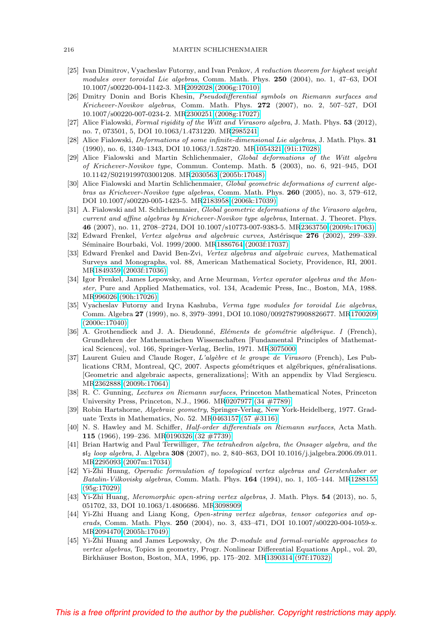- <span id="page-35-12"></span>[25] Ivan Dimitrov, Vyacheslav Futorny, and Ivan Penkov, A reduction theorem for highest weight modules over toroidal Lie algebras, Comm. Math. Phys. **250** (2004), no. 1, 47–63, DOI 10.1007/s00220-004-1142-3. M[R2092028 \(2006g:17010\)](http://www.ams.org/mathscinet-getitem?mr=2092028)
- <span id="page-35-13"></span>[26] Dmitry Donin and Boris Khesin, Pseudodifferential symbols on Riemann surfaces and Krichever-Novikov algebras, Comm. Math. Phys. **272** (2007), no. 2, 507–527, DOI 10.1007/s00220-007-0234-2. M[R2300251 \(2008g:17027\)](http://www.ams.org/mathscinet-getitem?mr=2300251)
- <span id="page-35-7"></span>[27] Alice Fialowski, Formal rigidity of the Witt and Virasoro algebra, J. Math. Phys. **53** (2012), no. 7, 073501, 5, DOI 10.1063/1.4731220. M[R2985241](http://www.ams.org/mathscinet-getitem?mr=2985241)
- <span id="page-35-8"></span>[28] Alice Fialowski, Deformations of some infinite-dimensional Lie algebras, J. Math. Phys. **31** (1990), no. 6, 1340–1343, DOI 10.1063/1.528720. M[R1054321 \(91i:17028\)](http://www.ams.org/mathscinet-getitem?mr=1054321)
- <span id="page-35-1"></span>[29] Alice Fialowski and Martin Schlichenmaier, Global deformations of the Witt algebra of Krichever-Novikov type, Commun. Contemp. Math. **5** (2003), no. 6, 921–945, DOI 10.1142/S0219199703001208. M[R2030563 \(2005b:17048\)](http://www.ams.org/mathscinet-getitem?mr=2030563)
- <span id="page-35-2"></span>[30] Alice Fialowski and Martin Schlichenmaier, *Global geometric deformations of current alge*bras as Krichever-Novikov type algebras, Comm. Math. Phys. **260** (2005), no. 3, 579–612, DOI 10.1007/s00220-005-1423-5. M[R2183958 \(2006k:17039\)](http://www.ams.org/mathscinet-getitem?mr=2183958)
- <span id="page-35-9"></span>[31] A. Fialowski and M. Schlichenmaier, Global geometric deformations of the Virasoro algebra, current and affine algebras by Krichever-Novikov type algebras, Internat. J. Theoret. Phys. **46** (2007), no. 11, 2708–2724, DOI 10.1007/s10773-007-9383-5. M[R2363750 \(2009b:17063\)](http://www.ams.org/mathscinet-getitem?mr=2363750)
- <span id="page-35-19"></span>[32] Edward Frenkel, Vertex algebras and algebraic curves, Astérisque 276 (2002), 299–339. Séminaire Bourbaki, Vol. 1999/2000. M[R1886764 \(2003f:17037\)](http://www.ams.org/mathscinet-getitem?mr=1886764)
- <span id="page-35-20"></span>[33] Edward Frenkel and David Ben-Zvi, Vertex algebras and algebraic curves, Mathematical Surveys and Monographs, vol. 88, American Mathematical Society, Providence, RI, 2001. M[R1849359 \(2003f:17036\)](http://www.ams.org/mathscinet-getitem?mr=1849359)
- <span id="page-35-14"></span>[34] Igor Frenkel, James Lepowsky, and Arne Meurman, Vertex operator algebras and the Monster, Pure and Applied Mathematics, vol. 134, Academic Press, Inc., Boston, MA, 1988. M[R996026 \(90h:17026\)](http://www.ams.org/mathscinet-getitem?mr=996026)
- <span id="page-35-11"></span>[35] Vyacheslav Futorny and Iryna Kashuba, Verma type modules for toroidal Lie algebras, Comm. Algebra **27** (1999), no. 8, 3979–3991, DOI 10.1080/00927879908826677. M[R1700209](http://www.ams.org/mathscinet-getitem?mr=1700209) [\(2000c:17040\)](http://www.ams.org/mathscinet-getitem?mr=1700209)
- <span id="page-35-3"></span>[36] A. Grothendieck and J. A. Dieudonné, Eléments de géométrie algébrique. I (French), Grundlehren der Mathematischen Wissenschaften [Fundamental Principles of Mathematical Sciences], vol. 166, Springer-Verlag, Berlin, 1971. M[R3075000](http://www.ams.org/mathscinet-getitem?mr=3075000)
- <span id="page-35-0"></span>[37] Laurent Guieu and Claude Roger, L'algèbre et le groupe de Virasoro (French), Les Publications CRM, Montreal, QC, 2007. Aspects géométriques et algébriques, généralisations. [Geometric and algebraic aspects, generalizations]; With an appendix by Vlad Sergiescu. M[R2362888 \(2009b:17064\)](http://www.ams.org/mathscinet-getitem?mr=2362888)
- <span id="page-35-6"></span>[38] R. C. Gunning, Lectures on Riemann surfaces, Princeton Mathematical Notes, Princeton University Press, Princeton, N.J., 1966. M[R0207977 \(34 #7789\)](http://www.ams.org/mathscinet-getitem?mr=0207977)
- <span id="page-35-4"></span>[39] Robin Hartshorne, Algebraic geometry, Springer-Verlag, New York-Heidelberg, 1977. Graduate Texts in Mathematics, No. 52. M[R0463157 \(57 #3116\)](http://www.ams.org/mathscinet-getitem?mr=0463157)
- <span id="page-35-5"></span>[40] N. S. Hawley and M. Schiffer, Half-order differentials on Riemann surfaces, Acta Math. **115** (1966), 199–236. M[R0190326 \(32 #7739\)](http://www.ams.org/mathscinet-getitem?mr=0190326)
- <span id="page-35-10"></span>[41] Brian Hartwig and Paul Terwilliger, The tetrahedron algebra, the Onsager algebra, and the sl<sup>2</sup> loop algebra, J. Algebra **308** (2007), no. 2, 840–863, DOI 10.1016/j.jalgebra.2006.09.011. M[R2295093 \(2007m:17034\)](http://www.ams.org/mathscinet-getitem?mr=2295093)
- <span id="page-35-15"></span>[42] Yi-Zhi Huang, Operadic formulation of topological vertex algebras and Gerstenhaber or Batalin-Vilkovisky algebras, Comm. Math. Phys. **164** (1994), no. 1, 105–144. M[R1288155](http://www.ams.org/mathscinet-getitem?mr=1288155) [\(95g:17029\)](http://www.ams.org/mathscinet-getitem?mr=1288155)
- <span id="page-35-16"></span>[43] Yi-Zhi Huang, Meromorphic open-string vertex algebras, J. Math. Phys. **54** (2013), no. 5, 051702, 33, DOI 10.1063/1.4806686. M[R3098909](http://www.ams.org/mathscinet-getitem?mr=3098909)
- <span id="page-35-17"></span>[44] Yi-Zhi Huang and Liang Kong, Open-string vertex algebras, tensor categories and operads, Comm. Math. Phys. **250** (2004), no. 3, 433–471, DOI 10.1007/s00220-004-1059-x. M[R2094470 \(2005h:17049\)](http://www.ams.org/mathscinet-getitem?mr=2094470)
- <span id="page-35-18"></span>[45] Yi-Zhi Huang and James Lepowsky, On the D-module and formal-variable approaches to vertex algebras, Topics in geometry, Progr. Nonlinear Differential Equations Appl., vol. 20, Birkh¨auser Boston, Boston, MA, 1996, pp. 175–202. M[R1390314 \(97f:17032\)](http://www.ams.org/mathscinet-getitem?mr=1390314)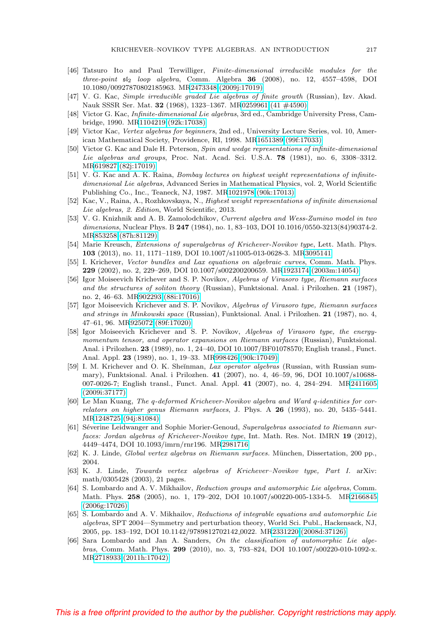- <span id="page-36-8"></span>[46] Tatsuro Ito and Paul Terwilliger, Finite-dimensional irreducible modules for the three-point sl<sup>2</sup> loop algebra, Comm. Algebra **36** (2008), no. 12, 4557–4598, DOI 10.1080/00927870802185963. M[R2473348 \(2009j:17019\)](http://www.ams.org/mathscinet-getitem?mr=2473348)
- <span id="page-36-3"></span>[47] V. G. Kac, Simple irreducible graded Lie algebras of finite growth (Russian), Izv. Akad. Nauk SSSR Ser. Mat. **32** (1968), 1323–1367. M[R0259961 \(41 #4590\)](http://www.ams.org/mathscinet-getitem?mr=0259961)
- <span id="page-36-4"></span>[48] Victor G. Kac, Infinite-dimensional Lie algebras, 3rd ed., Cambridge University Press, Cambridge, 1990. M[R1104219 \(92k:17038\)](http://www.ams.org/mathscinet-getitem?mr=1104219)
- <span id="page-36-18"></span>[49] Victor Kac, Vertex algebras for beginners, 2nd ed., University Lecture Series, vol. 10, American Mathematical Society, Providence, RI, 1998. M[R1651389 \(99f:17033\)](http://www.ams.org/mathscinet-getitem?mr=1651389)
- <span id="page-36-15"></span>[50] Victor G. Kac and Dale H. Peterson, Spin and wedge representations of infinite-dimensional Lie algebras and groups, Proc. Nat. Acad. Sci. U.S.A. **78** (1981), no. 6, 3308–3312. M[R619827 \(82j:17019\)](http://www.ams.org/mathscinet-getitem?mr=619827)
- <span id="page-36-16"></span>[51] V. G. Kac and A. K. Raina, Bombay lectures on highest weight representations of infinitedimensional Lie algebras, Advanced Series in Mathematical Physics, vol. 2, World Scientific Publishing Co., Inc., Teaneck, NJ, 1987. M[R1021978 \(90k:17013\)](http://www.ams.org/mathscinet-getitem?mr=1021978)
- <span id="page-36-17"></span>[52] Kac, V., Raina, A., Rozhkovskaya, N., Highest weight representations of infinite dimensional Lie algebras, 2. Edition, World Scientific, 2013.
- <span id="page-36-7"></span>[53] V. G. Knizhnik and A. B. Zamolodchikov, Current algebra and Wess-Zumino model in two dimensions, Nuclear Phys. B **247** (1984), no. 1, 83–103, DOI 10.1016/0550-3213(84)90374-2. M[R853258 \(87h:81129\)](http://www.ams.org/mathscinet-getitem?mr=853258)
- <span id="page-36-6"></span>[54] Marie Kreusch, Extensions of superalgebras of Krichever-Novikov type, Lett. Math. Phys. **103** (2013), no. 11, 1171–1189, DOI 10.1007/s11005-013-0628-3. M[R3095141](http://www.ams.org/mathscinet-getitem?mr=3095141)
- <span id="page-36-13"></span>[55] I. Krichever, Vector bundles and Lax equations on algebraic curves, Comm. Math. Phys. **229** (2002), no. 2, 229–269, DOI 10.1007/s002200200659. M[R1923174 \(2003m:14054\)](http://www.ams.org/mathscinet-getitem?mr=1923174)
- <span id="page-36-0"></span>[56] Igor Moiseevich Krichever and S. P. Novikov, Algebras of Virasoro type, Riemann surfaces and the structures of soliton theory (Russian), Funktsional. Anal. i Prilozhen. **21** (1987), no. 2, 46–63. M[R902293 \(88i:17016\)](http://www.ams.org/mathscinet-getitem?mr=902293)
- <span id="page-36-1"></span>[57] Igor Moiseevich Krichever and S. P. Novikov, Algebras of Virasoro type, Riemann surfaces and strings in Minkowski space (Russian), Funktsional. Anal. i Prilozhen. **21** (1987), no. 4, 47–61, 96. M[R925072 \(89f:17020\)](http://www.ams.org/mathscinet-getitem?mr=925072)
- <span id="page-36-2"></span>[58] Igor Moiseevich Krichever and S. P. Novikov, Algebras of Virasoro type, the energymomentum tensor, and operator expansions on Riemann surfaces (Russian), Funktsional. Anal. i Prilozhen. **23** (1989), no. 1, 24–40, DOI 10.1007/BF01078570; English transl., Funct. Anal. Appl. **23** (1989), no. 1, 19–33. M[R998426 \(90k:17049\)](http://www.ams.org/mathscinet-getitem?mr=998426)
- <span id="page-36-14"></span>[59] I. M. Krichever and O. K. Sheĭnman, Lax operator algebras (Russian, with Russian summary), Funktsional. Anal. i Prilozhen. **41** (2007), no. 4, 46–59, 96, DOI 10.1007/s10688- 007-0026-7; English transl., Funct. Anal. Appl. **41** (2007), no. 4, 284–294. M[R2411605](http://www.ams.org/mathscinet-getitem?mr=2411605) [\(2009i:37177\)](http://www.ams.org/mathscinet-getitem?mr=2411605)
- <span id="page-36-12"></span>[60] Le Man Kuang, The q-deformed Krichever-Novikov algebra and Ward q-identities for correlators on higher genus Riemann surfaces, J. Phys. A **26** (1993), no. 20, 5435–5441. M[R1248725 \(94j:81084\)](http://www.ams.org/mathscinet-getitem?mr=1248725)
- <span id="page-36-5"></span>[61] Séverine Leidwanger and Sophie Morier-Genoud, Superalgebras associated to Riemann surfaces: Jordan algebras of Krichever-Novikov type, Int. Math. Res. Not. IMRN **19** (2012), 4449–4474, DOI 10.1093/imrn/rnr196. M[R2981716](http://www.ams.org/mathscinet-getitem?mr=2981716)
- <span id="page-36-19"></span>[62] K. J. Linde, *Global vertex algebras on Riemann surfaces*. München, Dissertation, 200 pp., 2004.
- <span id="page-36-20"></span>[63] K. J. Linde, Towards vertex algebras of Krichever–Novikov type, Part I. arXiv: math/0305428 (2003), 21 pages.
- <span id="page-36-9"></span>[64] S. Lombardo and A. V. Mikhailov, Reduction groups and automorphic Lie algebras, Comm. Math. Phys. **258** (2005), no. 1, 179–202, DOI 10.1007/s00220-005-1334-5. M[R2166845](http://www.ams.org/mathscinet-getitem?mr=2166845) [\(2006g:17026\)](http://www.ams.org/mathscinet-getitem?mr=2166845)
- <span id="page-36-10"></span>[65] S. Lombardo and A. V. Mikhailov, Reductions of integrable equations and automorphic Lie algebras, SPT 2004—Symmetry and perturbation theory, World Sci. Publ., Hackensack, NJ, 2005, pp. 183–192, DOI 10.1142/9789812702142 0022. M[R2331220 \(2008d:37126\)](http://www.ams.org/mathscinet-getitem?mr=2331220)
- <span id="page-36-11"></span>[66] Sara Lombardo and Jan A. Sanders, On the classification of automorphic Lie algebras, Comm. Math. Phys. **299** (2010), no. 3, 793–824, DOI 10.1007/s00220-010-1092-x. M[R2718933 \(2011h:17042\)](http://www.ams.org/mathscinet-getitem?mr=2718933)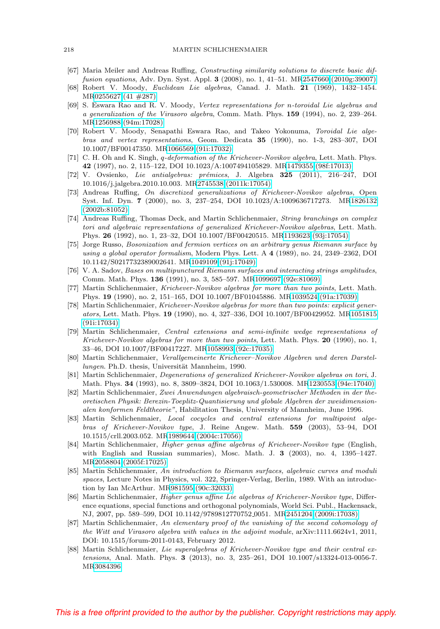- <span id="page-37-19"></span>[67] Maria Meiler and Andreas Ruffing, Constructing similarity solutions to discrete basic diffusion equations, Adv. Dyn. Syst. Appl. **3** (2008), no. 1, 41–51. M[R2547660 \(2010g:39007\)](http://www.ams.org/mathscinet-getitem?mr=2547660)
- <span id="page-37-5"></span>[68] Robert V. Moody, Euclidean Lie algebras, Canad. J. Math. **21** (1969), 1432–1454. M[R0255627 \(41 #287\)](http://www.ams.org/mathscinet-getitem?mr=0255627)
- <span id="page-37-16"></span>[69] S. Eswara Rao and R. V. Moody, Vertex representations for n-toroidal Lie algebras and a generalization of the Virasoro algebra, Comm. Math. Phys. **159** (1994), no. 2, 239–264. M[R1256988 \(94m:17028\)](http://www.ams.org/mathscinet-getitem?mr=1256988)
- <span id="page-37-17"></span>[70] Robert V. Moody, Senapathi Eswara Rao, and Takeo Yokonuma, Toroidal Lie algebras and vertex representations, Geom. Dedicata **35** (1990), no. 1-3, 283–307, DOI 10.1007/BF00147350. M[R1066569 \(91i:17032\)](http://www.ams.org/mathscinet-getitem?mr=1066569)
- <span id="page-37-20"></span>[71] C. H. Oh and K. Singh, q-deformation of the Krichever-Novikov algebra, Lett. Math. Phys. **42** (1997), no. 2, 115–122, DOI 10.1023/A:1007494105829. M[R1479355 \(98f:17013\)](http://www.ams.org/mathscinet-getitem?mr=1479355)
- <span id="page-37-11"></span>[72] V. Ovsienko, Lie antialgebras: pr´emices, J. Algebra **325** (2011), 216–247, DOI 10.1016/j.jalgebra.2010.10.003. M[R2745538 \(2011k:17054\)](http://www.ams.org/mathscinet-getitem?mr=2745538)
- <span id="page-37-18"></span>[73] Andreas Ruffing, On discretized generalizations of Krichever-Novikov algebras, Open Syst. Inf. Dyn. **7** (2000), no. 3, 237–254, DOI 10.1023/A:1009636717273. M[R1826132](http://www.ams.org/mathscinet-getitem?mr=1826132) [\(2002b:81052\)](http://www.ams.org/mathscinet-getitem?mr=1826132)
- <span id="page-37-14"></span>[74] Andreas Ruffing, Thomas Deck, and Martin Schlichenmaier, String branchings on complex tori and algebraic representations of generalized Krichever-Novikov algebras, Lett. Math. Phys. **26** (1992), no. 1, 23–32, DOI 10.1007/BF00420515. M[R1193623 \(93j:17054\)](http://www.ams.org/mathscinet-getitem?mr=1193623)
- <span id="page-37-21"></span>[75] Jorge Russo, Bosonization and fermion vertices on an arbitrary genus Riemann surface by using a global operator formalism, Modern Phys. Lett. A **4** (1989), no. 24, 2349–2362, DOI 10.1142/S0217732389002641. M[R1049109 \(91j:17049\)](http://www.ams.org/mathscinet-getitem?mr=1049109)
- <span id="page-37-9"></span>[76] V. A. Sadov, Bases on multipunctured Riemann surfaces and interacting strings amplitudes, Comm. Math. Phys. **136** (1991), no. 3, 585–597. M[R1099697 \(92e:81069\)](http://www.ams.org/mathscinet-getitem?mr=1099697)
- <span id="page-37-0"></span>[77] Martin Schlichenmaier, Krichever-Novikov algebras for more than two points, Lett. Math. Phys. **19** (1990), no. 2, 151–165, DOI 10.1007/BF01045886. M[R1039524 \(91a:17039\)](http://www.ams.org/mathscinet-getitem?mr=1039524)
- <span id="page-37-1"></span>[78] Martin Schlichenmaier, Krichever-Novikov algebras for more than two points: explicit generators, Lett. Math. Phys. **19** (1990), no. 4, 327–336, DOI 10.1007/BF00429952. M[R1051815](http://www.ams.org/mathscinet-getitem?mr=1051815) [\(91i:17034\)](http://www.ams.org/mathscinet-getitem?mr=1051815)
- <span id="page-37-2"></span>[79] Martin Schlichenmaier, Central extensions and semi-infinite wedge representations of Krichever-Novikov algebras for more than two points, Lett. Math. Phys. **20** (1990), no. 1, 33–46, DOI 10.1007/BF00417227. M[R1058993 \(92c:17035\)](http://www.ams.org/mathscinet-getitem?mr=1058993)
- <span id="page-37-3"></span>[80] Martin Schlichenmaier, Verallgemeinerte Krichever–Novikov Algebren und deren Darstellungen. Ph.D. thesis, Universität Mannheim, 1990.
- <span id="page-37-4"></span>[81] Martin Schlichenmaier, Degenerations of generalized Krichever-Novikov algebras on tori, J. Math. Phys. **34** (1993), no. 8, 3809–3824, DOI 10.1063/1.530008. M[R1230553 \(94e:17040\)](http://www.ams.org/mathscinet-getitem?mr=1230553)
- <span id="page-37-6"></span>[82] Martin Schlichenmaier, Zwei Anwendungen algebraisch-geometrischer Methoden in der theoretischen Physik: Berezin-Toeplitz-Quantisierung und globale Algebren der zweidimensionalen konformen Feldtheorie", Habilitation Thesis, University of Mannheim, June 1996.
- <span id="page-37-7"></span>[83] Martin Schlichenmaier, Local cocycles and central extensions for multipoint algebras of Krichever-Novikov type, J. Reine Angew. Math. **559** (2003), 53–94, DOI 10.1515/crll.2003.052. M[R1989644 \(2004c:17056\)](http://www.ams.org/mathscinet-getitem?mr=1989644)
- <span id="page-37-8"></span>[84] Martin Schlichenmaier, Higher genus affine algebras of Krichever-Novikov type (English, with English and Russian summaries), Mosc. Math. J. **3** (2003), no. 4, 1395–1427. M[R2058804 \(2005f:17025\)](http://www.ams.org/mathscinet-getitem?mr=2058804)
- <span id="page-37-10"></span>[85] Martin Schlichenmaier, An introduction to Riemann surfaces, algebraic curves and moduli spaces, Lecture Notes in Physics, vol. 322, Springer-Verlag, Berlin, 1989. With an introduction by Ian McArthur. M[R981595 \(90c:32033\)](http://www.ams.org/mathscinet-getitem?mr=981595)
- <span id="page-37-15"></span>[86] Martin Schlichenmaier, Higher genus affine Lie algebras of Krichever-Novikov type, Difference equations, special functions and orthogonal polynomials, World Sci. Publ., Hackensack, NJ, 2007, pp. 589–599, DOI 10.1142/9789812770752 0051. M[R2451204 \(2009i:17038\)](http://www.ams.org/mathscinet-getitem?mr=2451204)
- <span id="page-37-13"></span>[87] Martin Schlichenmaier, An elementary proof of the vanishing of the second cohomology of the Witt and Virasoro algebra with values in the adjoint module, arXiv:1111.6624v1, 2011, DOI: 10.1515/forum-2011-0143, February 2012.
- <span id="page-37-12"></span>[88] Martin Schlichenmaier, Lie superalgebras of Krichever-Novikov type and their central extensions, Anal. Math. Phys. **3** (2013), no. 3, 235–261, DOI 10.1007/s13324-013-0056-7. M[R3084396](http://www.ams.org/mathscinet-getitem?mr=3084396)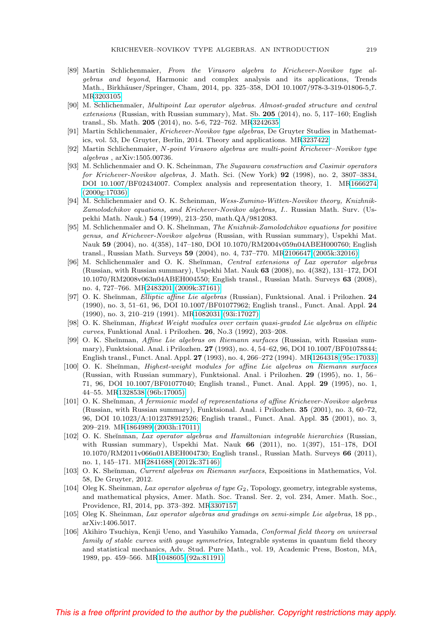- <span id="page-38-3"></span>[89] Martin Schlichenmaier, From the Virasoro algebra to Krichever-Novikov type algebras and beyond, Harmonic and complex analysis and its applications, Trends Math., Birkhäuser/Springer, Cham, 2014, pp. 325–358, DOI 10.1007/978-3-319-01806-5-7. M[R3203105](http://www.ams.org/mathscinet-getitem?mr=3203105)
- <span id="page-38-10"></span>[90] M. Schlichenmaĭer, Multipoint Lax operator algebras. Almost-graded structure and central extensions (Russian, with Russian summary), Mat. Sb. **205** (2014), no. 5, 117–160; English transl., Sb. Math. **205** (2014), no. 5-6, 722–762. M[R3242635](http://www.ams.org/mathscinet-getitem?mr=3242635)
- <span id="page-38-1"></span>[91] Martin Schlichenmaier, Krichever-Novikov type algebras, De Gruyter Studies in Mathematics, vol. 53, De Gruyter, Berlin, 2014. Theory and applications. M[R3237422](http://www.ams.org/mathscinet-getitem?mr=3237422)
- <span id="page-38-8"></span>[92] Martin Schlichenmaier, N-point Virasoro algebras are multi-point Krichever–Novikov type algebras , arXiv:1505.00736.
- <span id="page-38-16"></span>[93] M. Schlichenmaier and O. K. Scheinman, The Sugawara construction and Casimir operators for Krichever-Novikov algebras, J. Math. Sci. (New York) **92** (1998), no. 2, 3807–3834, DOI 10.1007/BF02434007. Complex analysis and representation theory, 1. M[R1666274](http://www.ams.org/mathscinet-getitem?mr=1666274) [\(2000g:17036\)](http://www.ams.org/mathscinet-getitem?mr=1666274)
- <span id="page-38-15"></span>[94] M. Schlichenmaier and O. K. Scheinman, Wess-Zumino-Witten-Novikov theory, Knizhnik-Zamolodchikov equations, and Krichever-Novikov algebras, I.. Russian Math. Surv. (Uspekhi Math. Nauk.) **54** (1999), 213–250, math.QA/9812083.
- <span id="page-38-17"></span>[95] M. Schlichenmaĭer and O. K. Sheĭnman, The Knizhnik-Zamolodchikov equations for positive genus, and Krichever-Novikov algebras (Russian, with Russian summary), Uspekhi Mat. Nauk **59** (2004), no. 4(358), 147–180, DOI 10.1070/RM2004v059n04ABEH000760; English transl., Russian Math. Surveys **59** (2004), no. 4, 737–770. M[R2106647 \(2005k:32016\)](http://www.ams.org/mathscinet-getitem?mr=2106647)
- <span id="page-38-11"></span>[96] M. Schlichenmaĭer and O. K. Sheĭnman, Central extensions of Lax operator algebras (Russian, with Russian summary), Uspekhi Mat. Nauk **63** (2008), no. 4(382), 131–172, DOI 10.1070/RM2008v063n04ABEH004550; English transl., Russian Math. Surveys **63** (2008), no. 4, 727–766. M[R2483201 \(2009k:37161\)](http://www.ams.org/mathscinet-getitem?mr=2483201)
- <span id="page-38-4"></span>[97] O. K. She˘ınman, Elliptic affine Lie algebras (Russian), Funktsional. Anal. i Prilozhen. **24** (1990), no. 3, 51–61, 96, DOI 10.1007/BF01077962; English transl., Funct. Anal. Appl. **24** (1990), no. 3, 210–219 (1991). M[R1082031 \(93i:17027\)](http://www.ams.org/mathscinet-getitem?mr=1082031)
- <span id="page-38-5"></span>[98] O. K. Sheĭnman, *Highest Weight modules over certain quasi-graded Lie algebras on elliptic* curves, Funktional Anal. i Prilozhen. **26**, No.3 (1992), 203–208.
- <span id="page-38-6"></span>[99] O. K. Sheĭnman, Affine Lie algebras on Riemann surfaces (Russian, with Russian summary), Funktsional. Anal. i Prilozhen. **27** (1993), no. 4, 54–62, 96, DOI 10.1007/BF01078844; English transl., Funct. Anal. Appl. **27** (1993), no. 4, 266–272 (1994). M[R1264318 \(95c:17033\)](http://www.ams.org/mathscinet-getitem?mr=1264318)
- <span id="page-38-7"></span>[100] O. K. Sheĭnman, *Highest-weight modules for affine Lie algebras on Riemann surfaces* (Russian, with Russian summary), Funktsional. Anal. i Prilozhen. **29** (1995), no. 1, 56– 71, 96, DOI 10.1007/BF01077040; English transl., Funct. Anal. Appl. **29** (1995), no. 1, 44–55. M[R1328538 \(96b:17005\)](http://www.ams.org/mathscinet-getitem?mr=1328538)
- <span id="page-38-14"></span>[101] O. K. Sheĭnman, A fermionic model of representations of affine Krichever-Novikov algebras (Russian, with Russian summary), Funktsional. Anal. i Prilozhen. **35** (2001), no. 3, 60–72, 96, DOI 10.1023/A:1012378912526; English transl., Funct. Anal. Appl. **35** (2001), no. 3, 209–219. M[R1864989 \(2003h:17011\)](http://www.ams.org/mathscinet-getitem?mr=1864989)
- <span id="page-38-9"></span>[102] O. K. Sheĭnman, Lax operator algebras and Hamiltonian integrable hierarchies (Russian, with Russian summary), Uspekhi Mat. Nauk **66** (2011), no. 1(397), 151–178, DOI 10.1070/RM2011v066n01ABEH004730; English transl., Russian Math. Surveys **66** (2011), no. 1, 145–171. M[R2841688 \(2012k:37146\)](http://www.ams.org/mathscinet-getitem?mr=2841688)
- <span id="page-38-2"></span>[103] O. K. Sheĭnman, *Current algebras on Riemann surfaces*, Expositions in Mathematics, Vol. 58, De Gruyter, 2012.
- <span id="page-38-12"></span>[104] Oleg K. Sheinman, Lax operator algebras of type G2, Topology, geometry, integrable systems, and mathematical physics, Amer. Math. Soc. Transl. Ser. 2, vol. 234, Amer. Math. Soc., Providence, RI, 2014, pp. 373–392. M[R3307157](http://www.ams.org/mathscinet-getitem?mr=3307157)
- <span id="page-38-13"></span>[105] Oleg K. Sheinman, Lax operator algebras and gradings on semi-simple Lie algebras, 18 pp., arXiv:1406.5017.
- <span id="page-38-0"></span>[106] Akihiro Tsuchiya, Kenji Ueno, and Yasuhiko Yamada, Conformal field theory on universal family of stable curves with gauge symmetries, Integrable systems in quantum field theory and statistical mechanics, Adv. Stud. Pure Math., vol. 19, Academic Press, Boston, MA, 1989, pp. 459–566. M[R1048605 \(92a:81191\)](http://www.ams.org/mathscinet-getitem?mr=1048605)